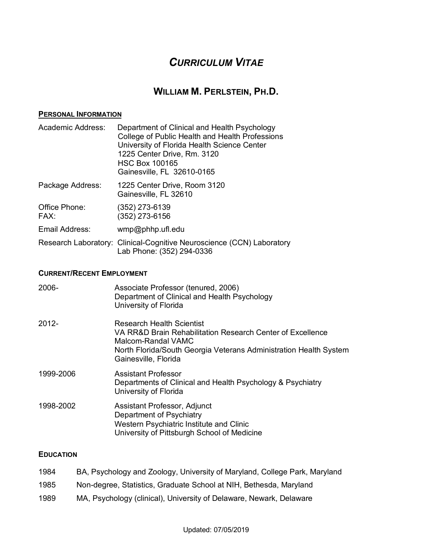# *CURRICULUM VITAE*

# **WILLIAM M. PERLSTEIN, PH.D.**

#### **PERSONAL INFORMATION**

| Academic Address:     | Department of Clinical and Health Psychology<br>College of Public Health and Health Professions<br>University of Florida Health Science Center<br>1225 Center Drive, Rm. 3120<br><b>HSC Box 100165</b><br>Gainesville, FL 32610-0165 |
|-----------------------|--------------------------------------------------------------------------------------------------------------------------------------------------------------------------------------------------------------------------------------|
| Package Address:      | 1225 Center Drive, Room 3120<br>Gainesville, FL 32610                                                                                                                                                                                |
| Office Phone:<br>FAX: | (352) 273-6139<br>(352) 273-6156                                                                                                                                                                                                     |
| Email Address:        | $wmp@phhp.$ ufl.edu                                                                                                                                                                                                                  |
|                       | Research Laboratory: Clinical-Cognitive Neuroscience (CCN) Laboratory<br>Lab Phone: (352) 294-0336                                                                                                                                   |

# **CURRENT/RECENT EMPLOYMENT**

| 2006-     | Associate Professor (tenured, 2006)<br>Department of Clinical and Health Psychology<br>University of Florida                                                                                               |
|-----------|------------------------------------------------------------------------------------------------------------------------------------------------------------------------------------------------------------|
| $2012 -$  | Research Health Scientist<br>VA RR&D Brain Rehabilitation Research Center of Excellence<br>Malcom-Randal VAMC<br>North Florida/South Georgia Veterans Administration Health System<br>Gainesville, Florida |
| 1999-2006 | <b>Assistant Professor</b><br>Departments of Clinical and Health Psychology & Psychiatry<br>University of Florida                                                                                          |
| 1998-2002 | Assistant Professor, Adjunct<br>Department of Psychiatry<br>Western Psychiatric Institute and Clinic<br>University of Pittsburgh School of Medicine                                                        |

# **EDUCATION**

| 1984 | BA, Psychology and Zoology, University of Maryland, College Park, Maryland |
|------|----------------------------------------------------------------------------|
| 1985 | Non-degree, Statistics, Graduate School at NIH, Bethesda, Maryland         |
| .    |                                                                            |

1989 MA, Psychology (clinical), University of Delaware, Newark, Delaware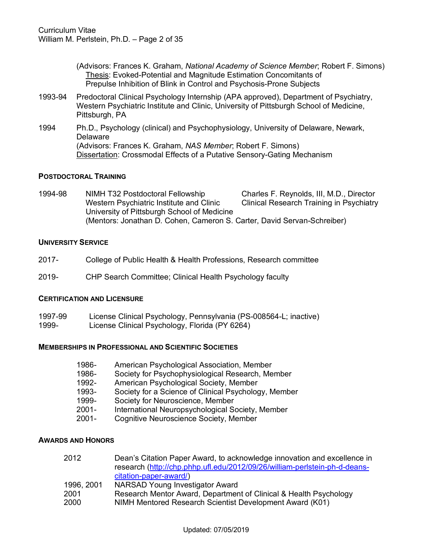| (Advisors: Frances K. Graham, National Academy of Science Member; Robert F. Simons) |
|-------------------------------------------------------------------------------------|
| Thesis: Evoked-Potential and Magnitude Estimation Concomitants of                   |
| Prepulse Inhibition of Blink in Control and Psychosis-Prone Subjects                |

- 1993-94 Predoctoral Clinical Psychology Internship (APA approved), Department of Psychiatry, Western Psychiatric Institute and Clinic, University of Pittsburgh School of Medicine, Pittsburgh, PA
- 1994 Ph.D., Psychology (clinical) and Psychophysiology, University of Delaware, Newark, **Delaware** (Advisors: Frances K. Graham, *NAS Member*; Robert F. Simons) Dissertation: Crossmodal Effects of a Putative Sensory-Gating Mechanism

# **POSTDOCTORAL TRAINING**

1994-98 NIMH T32 Postdoctoral Fellowship Charles F. Reynolds, III, M.D., Director Western Psychiatric Institute and Clinic Clinical Research Training in Psychiatry University of Pittsburgh School of Medicine (Mentors: Jonathan D. Cohen, Cameron S. Carter, David Servan-Schreiber)

### **UNIVERSITY SERVICE**

- 2017- College of Public Health & Health Professions, Research committee
- 2019- CHP Search Committee; Clinical Health Psychology faculty

#### **CERTIFICATION AND LICENSURE**

- 1997-99 License Clinical Psychology, Pennsylvania (PS-008564-L; inactive)
- 1999- License Clinical Psychology, Florida (PY 6264)

#### **MEMBERSHIPS IN PROFESSIONAL AND SCIENTIFIC SOCIETIES**

- 1986- American Psychological Association, Member
- 1986- Society for Psychophysiological Research, Member
- 1992- American Psychological Society, Member
- 1993- Society for a Science of Clinical Psychology, Member
- 1999- Society for Neuroscience, Member
- 2001- International Neuropsychological Society, Member
- 2001- Cognitive Neuroscience Society, Member

#### **AWARDS AND HONORS**

| 2012       | Dean's Citation Paper Award, to acknowledge innovation and excellence in<br>research (http://chp.phhp.ufl.edu/2012/09/26/william-perlstein-ph-d-deans- |
|------------|--------------------------------------------------------------------------------------------------------------------------------------------------------|
|            | citation-paper-award/)                                                                                                                                 |
| 1996, 2001 | NARSAD Young Investigator Award                                                                                                                        |
| 2001       | Research Mentor Award, Department of Clinical & Health Psychology                                                                                      |
| 2000       | NIMH Mentored Research Scientist Development Award (K01)                                                                                               |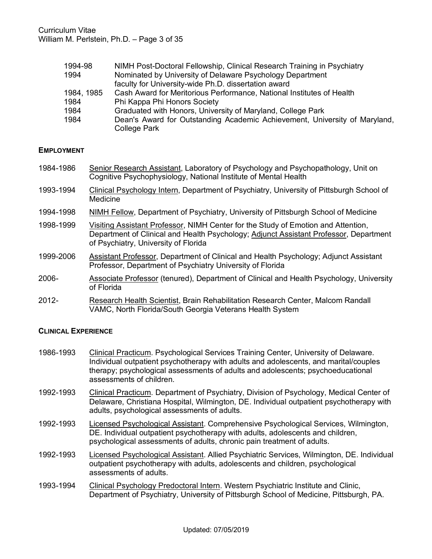| 1994-98    | NIMH Post-Doctoral Fellowship, Clinical Research Training in Psychiatry    |  |  |  |
|------------|----------------------------------------------------------------------------|--|--|--|
| 1994       | Nominated by University of Delaware Psychology Department                  |  |  |  |
|            | faculty for University-wide Ph.D. dissertation award                       |  |  |  |
| 1984, 1985 | Cash Award for Meritorious Performance, National Institutes of Health      |  |  |  |
| 1984       | Phi Kappa Phi Honors Society                                               |  |  |  |
| 1984       | Graduated with Honors, University of Maryland, College Park                |  |  |  |
| 1984       | Dean's Award for Outstanding Academic Achievement, University of Maryland, |  |  |  |
|            | <b>College Park</b>                                                        |  |  |  |

### **EMPLOYMENT**

- 1984-1986 Senior Research Assistant, Laboratory of Psychology and Psychopathology, Unit on Cognitive Psychophysiology, National Institute of Mental Health
- 1993-1994 Clinical Psychology Intern, Department of Psychiatry, University of Pittsburgh School of Medicine
- 1994-1998 NIMH Fellow, Department of Psychiatry, University of Pittsburgh School of Medicine
- 1998-1999 Visiting Assistant Professor, NIMH Center for the Study of Emotion and Attention, Department of Clinical and Health Psychology; Adjunct Assistant Professor, Department of Psychiatry, University of Florida
- 1999-2006 Assistant Professor, Department of Clinical and Health Psychology; Adjunct Assistant Professor, Department of Psychiatry University of Florida
- 2006- Associate Professor (tenured), Department of Clinical and Health Psychology, University of Florida
- 2012- Research Health Scientist, Brain Rehabilitation Research Center, Malcom Randall VAMC, North Florida/South Georgia Veterans Health System

#### **CLINICAL EXPERIENCE**

- 1986-1993 Clinical Practicum. Psychological Services Training Center, University of Delaware. Individual outpatient psychotherapy with adults and adolescents, and marital/couples therapy; psychological assessments of adults and adolescents; psychoeducational assessments of children.
- 1992-1993 Clinical Practicum. Department of Psychiatry, Division of Psychology, Medical Center of Delaware, Christiana Hospital, Wilmington, DE. Individual outpatient psychotherapy with adults, psychological assessments of adults.
- 1992-1993 Licensed Psychological Assistant. Comprehensive Psychological Services, Wilmington, DE. Individual outpatient psychotherapy with adults, adolescents and children, psychological assessments of adults, chronic pain treatment of adults.
- 1992-1993 Licensed Psychological Assistant. Allied Psychiatric Services, Wilmington, DE. Individual outpatient psychotherapy with adults, adolescents and children, psychological assessments of adults.
- 1993-1994 Clinical Psychology Predoctoral Intern. Western Psychiatric Institute and Clinic, Department of Psychiatry, University of Pittsburgh School of Medicine, Pittsburgh, PA.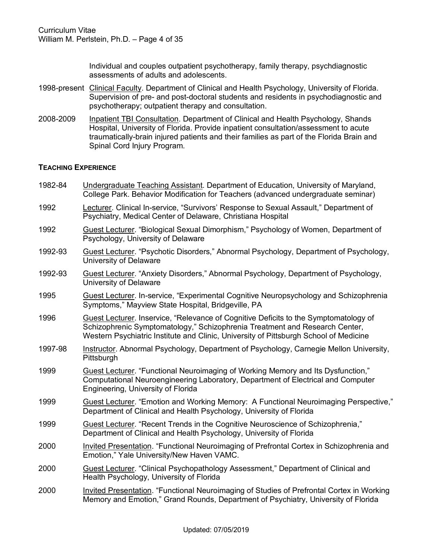Individual and couples outpatient psychotherapy, family therapy, psychdiagnostic assessments of adults and adolescents.

- 1998-present Clinical Faculty. Department of Clinical and Health Psychology, University of Florida. Supervision of pre- and post-doctoral students and residents in psychodiagnostic and psychotherapy; outpatient therapy and consultation.
- 2008-2009 Inpatient TBI Consultation. Department of Clinical and Health Psychology, Shands Hospital, University of Florida. Provide inpatient consultation/assessment to acute traumatically-brain injured patients and their families as part of the Florida Brain and Spinal Cord Injury Program.

### **TEACHING EXPERIENCE**

- 1982-84 Undergraduate Teaching Assistant. Department of Education, University of Maryland, College Park. Behavior Modification for Teachers (advanced undergraduate seminar)
- 1992 Lecturer. Clinical In-service, "Survivors' Response to Sexual Assault," Department of Psychiatry, Medical Center of Delaware, Christiana Hospital
- 1992 Guest Lecturer. "Biological Sexual Dimorphism," Psychology of Women, Department of Psychology, University of Delaware
- 1992-93 Guest Lecturer. "Psychotic Disorders," Abnormal Psychology, Department of Psychology, University of Delaware
- 1992-93 Guest Lecturer. "Anxiety Disorders," Abnormal Psychology, Department of Psychology, University of Delaware
- 1995 Guest Lecturer. In-service, "Experimental Cognitive Neuropsychology and Schizophrenia Symptoms," Mayview State Hospital, Bridgeville, PA
- 1996 Guest Lecturer. Inservice, "Relevance of Cognitive Deficits to the Symptomatology of Schizophrenic Symptomatology," Schizophrenia Treatment and Research Center, Western Psychiatric Institute and Clinic, University of Pittsburgh School of Medicine
- 1997-98 Instructor. Abnormal Psychology, Department of Psychology, Carnegie Mellon University, **Pittsburgh**
- 1999 Guest Lecturer. "Functional Neuroimaging of Working Memory and Its Dysfunction," Computational Neuroengineering Laboratory, Department of Electrical and Computer Engineering, University of Florida
- 1999 Guest Lecturer. "Emotion and Working Memory: A Functional Neuroimaging Perspective," Department of Clinical and Health Psychology, University of Florida
- 1999 Guest Lecturer. "Recent Trends in the Cognitive Neuroscience of Schizophrenia," Department of Clinical and Health Psychology, University of Florida
- 2000 Invited Presentation. "Functional Neuroimaging of Prefrontal Cortex in Schizophrenia and Emotion," Yale University/New Haven VAMC.
- 2000 Guest Lecturer. "Clinical Psychopathology Assessment," Department of Clinical and Health Psychology, University of Florida
- 2000 Invited Presentation. "Functional Neuroimaging of Studies of Prefrontal Cortex in Working Memory and Emotion," Grand Rounds, Department of Psychiatry, University of Florida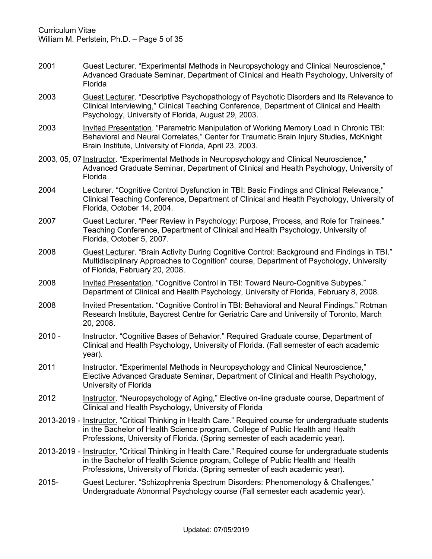- 2001 Guest Lecturer. "Experimental Methods in Neuropsychology and Clinical Neuroscience," Advanced Graduate Seminar, Department of Clinical and Health Psychology, University of Florida
- 2003 Guest Lecturer. "Descriptive Psychopathology of Psychotic Disorders and Its Relevance to Clinical Interviewing," Clinical Teaching Conference, Department of Clinical and Health Psychology, University of Florida, August 29, 2003.
- 2003 Invited Presentation. "Parametric Manipulation of Working Memory Load in Chronic TBI: Behavioral and Neural Correlates," Center for Traumatic Brain Injury Studies, McKnight Brain Institute, University of Florida, April 23, 2003.
- 2003, 05, 07 Instructor. "Experimental Methods in Neuropsychology and Clinical Neuroscience," Advanced Graduate Seminar, Department of Clinical and Health Psychology, University of Florida
- 2004 Lecturer. "Cognitive Control Dysfunction in TBI: Basic Findings and Clinical Relevance," Clinical Teaching Conference, Department of Clinical and Health Psychology, University of Florida, October 14, 2004.
- 2007 Guest Lecturer. "Peer Review in Psychology: Purpose, Process, and Role for Trainees." Teaching Conference, Department of Clinical and Health Psychology, University of Florida, October 5, 2007.
- 2008 Guest Lecturer. "Brain Activity During Cognitive Control: Background and Findings in TBI." Multidisciplinary Approaches to Cognition" course, Department of Psychology, University of Florida, February 20, 2008.
- 2008 Invited Presentation. "Cognitive Control in TBI: Toward Neuro-Cognitive Subypes." Department of Clinical and Health Psychology, University of Florida, February 8, 2008.
- 2008 Invited Presentation. "Cognitive Control in TBI: Behavioral and Neural Findings." Rotman Research Institute, Baycrest Centre for Geriatric Care and University of Toronto, March 20, 2008.
- 2010 Instructor. "Cognitive Bases of Behavior." Required Graduate course, Department of Clinical and Health Psychology, University of Florida. (Fall semester of each academic year).
- 2011 Instructor. "Experimental Methods in Neuropsychology and Clinical Neuroscience," Elective Advanced Graduate Seminar, Department of Clinical and Health Psychology, University of Florida
- 2012 Instructor. "Neuropsychology of Aging," Elective on-line graduate course, Department of Clinical and Health Psychology, University of Florida
- 2013-2019 Instructor. "Critical Thinking in Health Care." Required course for undergraduate students in the Bachelor of Health Science program, College of Public Health and Health Professions, University of Florida. (Spring semester of each academic year).
- 2013-2019 Instructor. "Critical Thinking in Health Care." Required course for undergraduate students in the Bachelor of Health Science program, College of Public Health and Health Professions, University of Florida. (Spring semester of each academic year).
- 2015- Guest Lecturer. "Schizophrenia Spectrum Disorders: Phenomenology & Challenges," Undergraduate Abnormal Psychology course (Fall semester each academic year).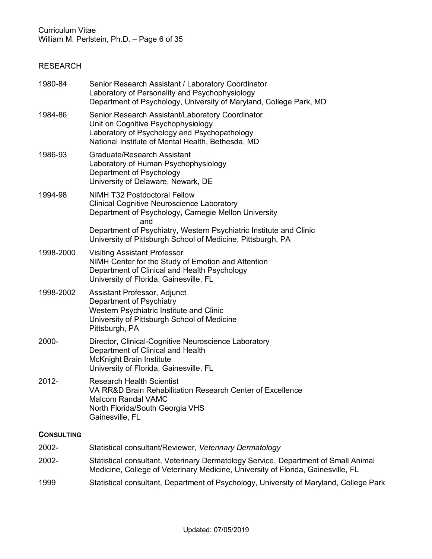# RESEARCH

| 1980-84           | Senior Research Assistant / Laboratory Coordinator<br>Laboratory of Personality and Psychophysiology<br>Department of Psychology, University of Maryland, College Park, MD                                                                                                                   |
|-------------------|----------------------------------------------------------------------------------------------------------------------------------------------------------------------------------------------------------------------------------------------------------------------------------------------|
| 1984-86           | Senior Research Assistant/Laboratory Coordinator<br>Unit on Cognitive Psychophysiology<br>Laboratory of Psychology and Psychopathology<br>National Institute of Mental Health, Bethesda, MD                                                                                                  |
| 1986-93           | Graduate/Research Assistant<br>Laboratory of Human Psychophysiology<br>Department of Psychology<br>University of Delaware, Newark, DE                                                                                                                                                        |
| 1994-98           | <b>NIMH T32 Postdoctoral Fellow</b><br><b>Clinical Cognitive Neuroscience Laboratory</b><br>Department of Psychology, Carnegie Mellon University<br>and<br>Department of Psychiatry, Western Psychiatric Institute and Clinic<br>University of Pittsburgh School of Medicine, Pittsburgh, PA |
| 1998-2000         | <b>Visiting Assistant Professor</b><br>NIMH Center for the Study of Emotion and Attention<br>Department of Clinical and Health Psychology<br>University of Florida, Gainesville, FL                                                                                                          |
| 1998-2002         | Assistant Professor, Adjunct<br>Department of Psychiatry<br>Western Psychiatric Institute and Clinic<br>University of Pittsburgh School of Medicine<br>Pittsburgh, PA                                                                                                                        |
| 2000-             | Director, Clinical-Cognitive Neuroscience Laboratory<br>Department of Clinical and Health<br><b>McKnight Brain Institute</b><br>University of Florida, Gainesville, FL                                                                                                                       |
| 2012-             | <b>Research Health Scientist</b><br>VA RR&D Brain Rehabilitation Research Center of Excellence<br><b>Malcom Randal VAMC</b><br>North Florida/South Georgia VHS<br>Gainesville, FL                                                                                                            |
| <b>CONSULTING</b> |                                                                                                                                                                                                                                                                                              |
| 2002-             | Statistical consultant/Reviewer, Veterinary Dermatology                                                                                                                                                                                                                                      |
| 2002-             | Statistical consultant, Veterinary Dermatology Service, Department of Small Animal<br>Medicine, College of Veterinary Medicine, University of Florida, Gainesville, FL                                                                                                                       |

1999 Statistical consultant, Department of Psychology, University of Maryland, College Park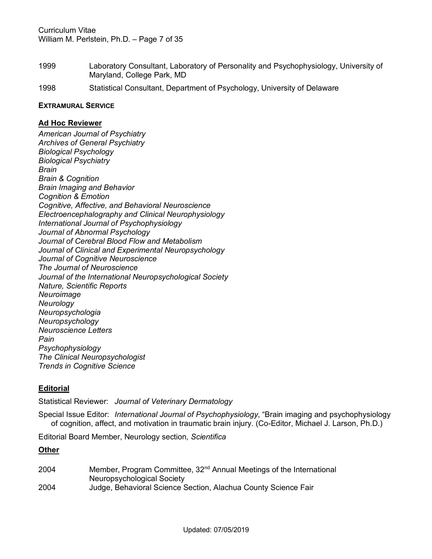- 1999 Laboratory Consultant, Laboratory of Personality and Psychophysiology, University of Maryland, College Park, MD
- 1998 Statistical Consultant, Department of Psychology, University of Delaware

#### **EXTRAMURAL SERVICE**

### **Ad Hoc Reviewer**

*American Journal of Psychiatry Archives of General Psychiatry Biological Psychology Biological Psychiatry Brain Brain & Cognition Brain Imaging and Behavior Cognition & Emotion Cognitive, Affective, and Behavioral Neuroscience Electroencephalography and Clinical Neurophysiology International Journal of Psychophysiology Journal of Abnormal Psychology Journal of Cerebral Blood Flow and Metabolism Journal of Clinical and Experimental Neuropsychology Journal of Cognitive Neuroscience The Journal of Neuroscience Journal of the International Neuropsychological Society Nature, Scientific Reports Neuroimage Neurology Neuropsychologia Neuropsychology Neuroscience Letters Pain Psychophysiology The Clinical Neuropsychologist Trends in Cognitive Science*

# **Editorial**

Statistical Reviewer: *Journal of Veterinary Dermatology*

Special Issue Editor: *International Journal of Psychophysiology*, "Brain imaging and psychophysiology of cognition, affect, and motivation in traumatic brain injury. (Co-Editor, Michael J. Larson, Ph.D.)

Editorial Board Member, Neurology section, *Scientifica*

# **Other**

2004 Member, Program Committee, 32<sup>nd</sup> Annual Meetings of the International Neuropsychological Society 2004 Judge, Behavioral Science Section, Alachua County Science Fair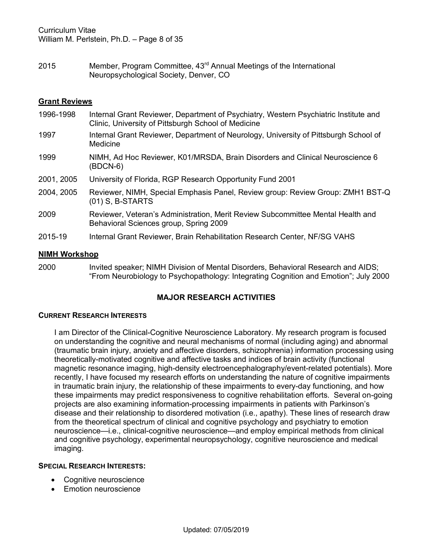2015 Member, Program Committee, 43rd Annual Meetings of the International Neuropsychological Society, Denver, CO

# **Grant Reviews**

1996-1998 Internal Grant Reviewer, Department of Psychiatry, Western Psychiatric Institute and Clinic, University of Pittsburgh School of Medicine 1997 Internal Grant Reviewer, Department of Neurology, University of Pittsburgh School of Medicine 1999 NIMH, Ad Hoc Reviewer, K01/MRSDA, Brain Disorders and Clinical Neuroscience 6 (BDCN-6) 2001, 2005 University of Florida, RGP Research Opportunity Fund 2001 2004, 2005 Reviewer, NIMH, Special Emphasis Panel, Review group: Review Group: ZMH1 BST-Q (01) S, B-STARTS 2009 Reviewer, Veteran's Administration, Merit Review Subcommittee Mental Health and Behavioral Sciences group, Spring 2009 2015-19 Internal Grant Reviewer, Brain Rehabilitation Research Center, NF/SG VAHS

# **NIMH Workshop**

2000 Invited speaker; NIMH Division of Mental Disorders, Behavioral Research and AIDS; "From Neurobiology to Psychopathology: Integrating Cognition and Emotion"; July 2000

# **MAJOR RESEARCH ACTIVITIES**

#### **CURRENT RESEARCH INTERESTS**

I am Director of the Clinical-Cognitive Neuroscience Laboratory. My research program is focused on understanding the cognitive and neural mechanisms of normal (including aging) and abnormal (traumatic brain injury, anxiety and affective disorders, schizophrenia) information processing using theoretically-motivated cognitive and affective tasks and indices of brain activity (functional magnetic resonance imaging, high-density electroencephalography/event-related potentials). More recently, I have focused my research efforts on understanding the nature of cognitive impairments in traumatic brain injury, the relationship of these impairments to every-day functioning, and how these impairments may predict responsiveness to cognitive rehabilitation efforts. Several on-going projects are also examining information-processing impairments in patients with Parkinson's disease and their relationship to disordered motivation (i.e., apathy). These lines of research draw from the theoretical spectrum of clinical and cognitive psychology and psychiatry to emotion neuroscience—i.e., clinical-cognitive neuroscience—and employ empirical methods from clinical and cognitive psychology, experimental neuropsychology, cognitive neuroscience and medical imaging.

# **SPECIAL RESEARCH INTERESTS:**

- Cognitive neuroscience
- Emotion neuroscience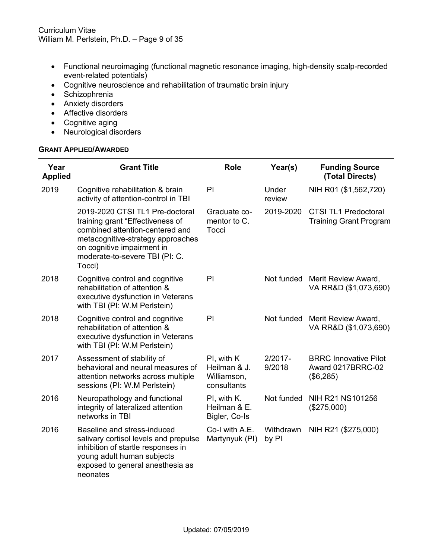- Functional neuroimaging (functional magnetic resonance imaging, high-density scalp-recorded event-related potentials)
- Cognitive neuroscience and rehabilitation of traumatic brain injury
- Schizophrenia
- Anxiety disorders
- Affective disorders
- Cognitive aging
- Neurological disorders

#### **GRANT APPLIED/AWARDED**

| Year<br><b>Applied</b> | <b>Grant Title</b>                                                                                                                                                                                                    | <b>Role</b>                                              | Year(s)              | <b>Funding Source</b><br>(Total Directs)                       |
|------------------------|-----------------------------------------------------------------------------------------------------------------------------------------------------------------------------------------------------------------------|----------------------------------------------------------|----------------------|----------------------------------------------------------------|
| 2019                   | Cognitive rehabilitation & brain<br>activity of attention-control in TBI                                                                                                                                              | PI                                                       | Under<br>review      | NIH R01 (\$1,562,720)                                          |
|                        | 2019-2020 CTSI TL1 Pre-doctoral<br>training grant "Effectiveness of<br>combined attention-centered and<br>metacognitive-strategy approaches<br>on cognitive impairment in<br>moderate-to-severe TBI (PI: C.<br>Tocci) | Graduate co-<br>mentor to C.<br>Tocci                    | 2019-2020            | <b>CTSI TL1 Predoctoral</b><br><b>Training Grant Program</b>   |
| 2018                   | Cognitive control and cognitive<br>rehabilitation of attention &<br>executive dysfunction in Veterans<br>with TBI (PI: W.M Perlstein)                                                                                 | PI                                                       |                      | Not funded Merit Review Award,<br>VA RR&D (\$1,073,690)        |
| 2018                   | Cognitive control and cognitive<br>rehabilitation of attention &<br>executive dysfunction in Veterans<br>with TBI (PI: W.M Perlstein)                                                                                 | PI                                                       | Not funded           | Merit Review Award,<br>VA RR&D (\$1,073,690)                   |
| 2017                   | Assessment of stability of<br>behavioral and neural measures of<br>attention networks across multiple<br>sessions (PI: W.M Perlstein)                                                                                 | PI, with K<br>Heilman & J.<br>Williamson,<br>consultants | $2/2017 -$<br>9/2018 | <b>BRRC Innovative Pilot</b><br>Award 0217BRRC-02<br>(\$6,285) |
| 2016                   | Neuropathology and functional<br>integrity of lateralized attention<br>networks in TBI                                                                                                                                | PI, with K.<br>Heilman & E.<br>Bigler, Co-Is             | Not funded           | NIH R21 NS101256<br>$(\$275,000)$                              |
| 2016                   | Baseline and stress-induced<br>salivary cortisol levels and prepulse<br>inhibition of startle responses in<br>young adult human subjects<br>exposed to general anesthesia as<br>neonates                              | Co-I with A.E.<br>Martynyuk (PI)                         | Withdrawn<br>by PI   | NIH R21 (\$275,000)                                            |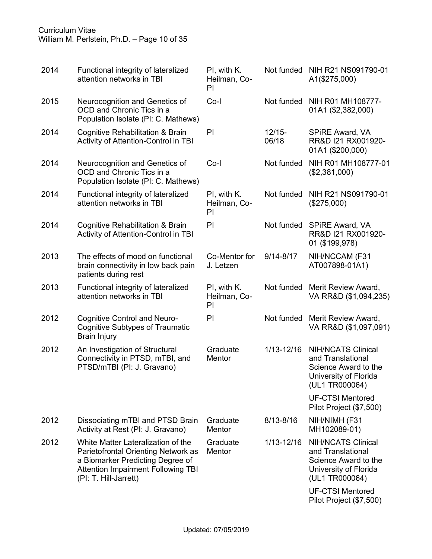# Curriculum Vitae William M. Perlstein, Ph.D. – Page 10 of 35

| 2014 | Functional integrity of lateralized<br>attention networks in TBI                                                                                                                    | PI, with K.<br>Heilman, Co-<br>PI |                    | Not funded NIH R21 NS091790-01<br>A1(\$275,000)                                                                   |
|------|-------------------------------------------------------------------------------------------------------------------------------------------------------------------------------------|-----------------------------------|--------------------|-------------------------------------------------------------------------------------------------------------------|
| 2015 | Neurocognition and Genetics of<br>OCD and Chronic Tics in a<br>Population Isolate (PI: C. Mathews)                                                                                  | Co-l                              | Not funded         | NIH R01 MH108777-<br>01A1 (\$2,382,000)                                                                           |
| 2014 | Cognitive Rehabilitation & Brain<br>Activity of Attention-Control in TBI                                                                                                            | PI                                | $12/15 -$<br>06/18 | SPIRE Award, VA<br>RR&D I21 RX001920-<br>01A1 (\$200,000)                                                         |
| 2014 | Neurocognition and Genetics of<br>OCD and Chronic Tics in a<br>Population Isolate (PI: C. Mathews)                                                                                  | $Co-I$                            | Not funded         | NIH R01 MH108777-01<br>(\$2,381,000)                                                                              |
| 2014 | Functional integrity of lateralized<br>attention networks in TBI                                                                                                                    | PI, with K.<br>Heilman, Co-<br>PI | Not funded         | NIH R21 NS091790-01<br>(\$275,000)                                                                                |
| 2014 | Cognitive Rehabilitation & Brain<br>Activity of Attention-Control in TBI                                                                                                            | PI                                | Not funded         | SPIRE Award, VA<br>RR&D I21 RX001920-<br>01 (\$199,978)                                                           |
| 2013 | The effects of mood on functional<br>brain connectivity in low back pain<br>patients during rest                                                                                    | Co-Mentor for<br>J. Letzen        | $9/14 - 8/17$      | NIH/NCCAM (F31<br>AT007898-01A1)                                                                                  |
| 2013 | Functional integrity of lateralized<br>attention networks in TBI                                                                                                                    | PI, with K.<br>Heilman, Co-<br>PI | Not funded         | Merit Review Award,<br>VA RR&D (\$1,094,235)                                                                      |
| 2012 | Cognitive Control and Neuro-<br><b>Cognitive Subtypes of Traumatic</b><br><b>Brain Injury</b>                                                                                       | PI                                | Not funded         | Merit Review Award,<br>VA RR&D (\$1,097,091)                                                                      |
| 2012 | An Investigation of Structural<br>Connectivity in PTSD, mTBI, and<br>PTSD/mTBI (PI: J. Gravano)                                                                                     | Graduate<br>Mentor                | 1/13-12/16         | <b>NIH/NCATS Clinical</b><br>and Translational<br>Science Award to the<br>University of Florida<br>(UL1 TR000064) |
|      |                                                                                                                                                                                     |                                   |                    | <b>UF-CTSI Mentored</b><br>Pilot Project (\$7,500)                                                                |
| 2012 | Dissociating mTBI and PTSD Brain<br>Activity at Rest (PI: J. Gravano)                                                                                                               | Graduate<br>Mentor                | $8/13 - 8/16$      | NIH/NIMH (F31<br>MH102089-01)                                                                                     |
| 2012 | White Matter Lateralization of the<br>Parietofrontal Orienting Network as<br>a Biomarker Predicting Degree of<br><b>Attention Impairment Following TBI</b><br>(PI: T. Hill-Jarrett) | Graduate<br>Mentor                | 1/13-12/16         | <b>NIH/NCATS Clinical</b><br>and Translational<br>Science Award to the<br>University of Florida<br>(UL1 TR000064) |
|      |                                                                                                                                                                                     |                                   |                    | <b>UF-CTSI Mentored</b><br>Pilot Project (\$7,500)                                                                |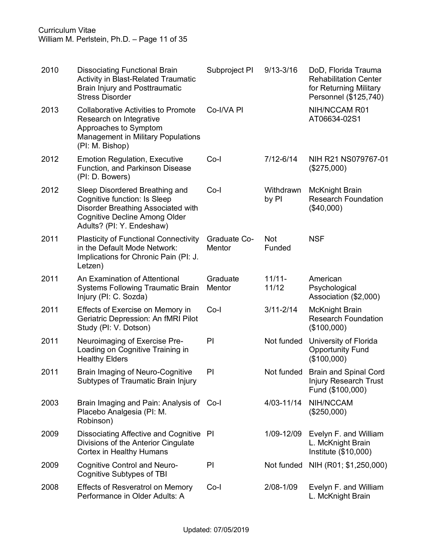Curriculum Vitae William M. Perlstein, Ph.D. – Page 11 of 35

| 2010 | <b>Dissociating Functional Brain</b><br><b>Activity in Blast-Related Traumatic</b><br><b>Brain Injury and Posttraumatic</b><br><b>Stress Disorder</b>                     | Subproject PI          | $9/13 - 3/16$        | DoD, Florida Trauma<br><b>Rehabilitation Center</b><br>for Returning Military<br>Personnel (\$125,740) |
|------|---------------------------------------------------------------------------------------------------------------------------------------------------------------------------|------------------------|----------------------|--------------------------------------------------------------------------------------------------------|
| 2013 | <b>Collaborative Activities to Promote</b><br>Research on Integrative<br>Approaches to Symptom<br><b>Management in Military Populations</b><br>(PI: M. Bishop)            | Co-I/VA PI             |                      | NIH/NCCAM R01<br>AT06634-02S1                                                                          |
| 2012 | <b>Emotion Regulation, Executive</b><br>Function, and Parkinson Disease<br>(PI: D. Bowers)                                                                                | $Co-I$                 | $7/12 - 6/14$        | NIH R21 NS079767-01<br>$(\$275,000)$                                                                   |
| 2012 | Sleep Disordered Breathing and<br>Cognitive function: Is Sleep<br>Disorder Breathing Associated with<br><b>Cognitive Decline Among Older</b><br>Adults? (PI: Y. Endeshaw) | $Co-I$                 | Withdrawn<br>by PI   | <b>McKnight Brain</b><br><b>Research Foundation</b><br>(\$40,000)                                      |
| 2011 | <b>Plasticity of Functional Connectivity</b><br>in the Default Mode Network:<br>Implications for Chronic Pain (PI: J.<br>Letzen)                                          | Graduate Co-<br>Mentor | <b>Not</b><br>Funded | <b>NSF</b>                                                                                             |
| 2011 | An Examination of Attentional<br><b>Systems Following Traumatic Brain</b><br>Injury (PI: C. Sozda)                                                                        | Graduate<br>Mentor     | $11/11 -$<br>11/12   | American<br>Psychological<br>Association (\$2,000)                                                     |
| 2011 | Effects of Exercise on Memory in<br>Geriatric Depression: An fMRI Pilot<br>Study (PI: V. Dotson)                                                                          | Co-l                   | $3/11 - 2/14$        | <b>McKnight Brain</b><br><b>Research Foundation</b><br>(\$100,000)                                     |
| 2011 | Neuroimaging of Exercise Pre-<br>Loading on Cognitive Training in<br><b>Healthy Elders</b>                                                                                | PI                     | Not funded           | University of Florida<br><b>Opportunity Fund</b><br>(\$100,000)                                        |
| 2011 | Brain Imaging of Neuro-Cognitive<br>Subtypes of Traumatic Brain Injury                                                                                                    | PI                     | Not funded           | <b>Brain and Spinal Cord</b><br><b>Injury Research Trust</b><br>Fund (\$100,000)                       |
| 2003 | Brain Imaging and Pain: Analysis of Co-I<br>Placebo Analgesia (PI: M.<br>Robinson)                                                                                        |                        | 4/03-11/14           | NIH/NCCAM<br>$(\$250,000)$                                                                             |
| 2009 | Dissociating Affective and Cognitive PI<br>Divisions of the Anterior Cingulate<br>Cortex in Healthy Humans                                                                |                        | 1/09-12/09           | Evelyn F. and William<br>L. McKnight Brain<br>Institute (\$10,000)                                     |
| 2009 | Cognitive Control and Neuro-<br>Cognitive Subtypes of TBI                                                                                                                 | PI                     | Not funded           | NIH (R01; \$1,250,000)                                                                                 |
| 2008 | <b>Effects of Resveratrol on Memory</b><br>Performance in Older Adults: A                                                                                                 | Co-l                   | 2/08-1/09            | Evelyn F. and William<br>L. McKnight Brain                                                             |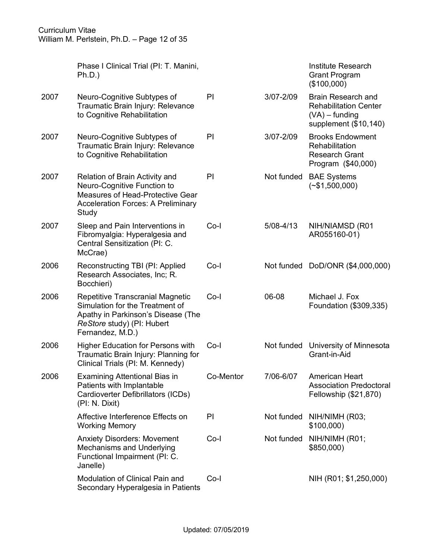Curriculum Vitae William M. Perlstein, Ph.D. – Page 12 of 35

|      | Phase I Clinical Trial (PI: T. Manini,<br>Ph.D.)                                                                                                            |           |            | Institute Research<br><b>Grant Program</b><br>(\$100,000)                                       |
|------|-------------------------------------------------------------------------------------------------------------------------------------------------------------|-----------|------------|-------------------------------------------------------------------------------------------------|
| 2007 | Neuro-Cognitive Subtypes of<br>Traumatic Brain Injury: Relevance<br>to Cognitive Rehabilitation                                                             | PI        | 3/07-2/09  | Brain Research and<br><b>Rehabilitation Center</b><br>$(VA)$ – funding<br>supplement (\$10,140) |
| 2007 | Neuro-Cognitive Subtypes of<br>Traumatic Brain Injury: Relevance<br>to Cognitive Rehabilitation                                                             | PI        | 3/07-2/09  | <b>Brooks Endowment</b><br>Rehabilitation<br><b>Research Grant</b><br>Program (\$40,000)        |
| 2007 | Relation of Brain Activity and<br>Neuro-Cognitive Function to<br>Measures of Head-Protective Gear<br><b>Acceleration Forces: A Preliminary</b><br>Study     | PI        | Not funded | <b>BAE Systems</b><br>$(*\$1,500,000)$                                                          |
| 2007 | Sleep and Pain Interventions in<br>Fibromyalgia: Hyperalgesia and<br>Central Sensitization (PI: C.<br>McCrae)                                               | Co-l      | 5/08-4/13  | NIH/NIAMSD (R01<br>AR055160-01)                                                                 |
| 2006 | Reconstructing TBI (PI: Applied<br>Research Associates, Inc; R.<br>Bocchieri)                                                                               | Co-l      |            | Not funded DoD/ONR (\$4,000,000)                                                                |
| 2006 | Repetitive Transcranial Magnetic<br>Simulation for the Treatment of<br>Apathy in Parkinson's Disease (The<br>ReStore study) (PI: Hubert<br>Fernandez, M.D.) | $Co-I$    | 06-08      | Michael J. Fox<br>Foundation (\$309,335)                                                        |
| 2006 | <b>Higher Education for Persons with</b><br>Traumatic Brain Injury: Planning for<br>Clinical Trials (PI: M. Kennedy)                                        | Co-l      | Not funded | University of Minnesota<br>Grant-in-Aid                                                         |
| 2006 | Examining Attentional Bias in<br>Patients with Implantable<br>Cardioverter Defibrillators (ICDs)<br>(PI: N. Dixit)                                          | Co-Mentor | 7/06-6/07  | American Heart<br><b>Association Predoctoral</b><br>Fellowship (\$21,870)                       |
|      | Affective Interference Effects on<br><b>Working Memory</b>                                                                                                  | PI        | Not funded | NIH/NIMH (R03;<br>\$100,000                                                                     |
|      | <b>Anxiety Disorders: Movement</b><br>Mechanisms and Underlying<br>Functional Impairment (PI: C.<br>Janelle)                                                | Co-l      | Not funded | NIH/NIMH (R01;<br>\$850,000)                                                                    |
|      | Modulation of Clinical Pain and<br>Secondary Hyperalgesia in Patients                                                                                       | $Co-I$    |            | NIH (R01; \$1,250,000)                                                                          |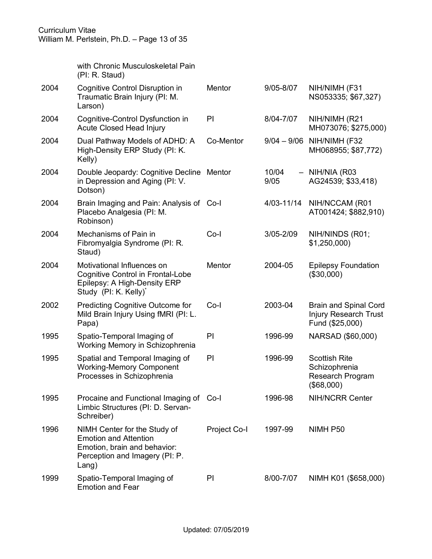|      | with Chronic Musculoskeletal Pain<br>(PI: R. Staud)                                                                                         |               |               |                                                                          |
|------|---------------------------------------------------------------------------------------------------------------------------------------------|---------------|---------------|--------------------------------------------------------------------------|
| 2004 | Cognitive Control Disruption in<br>Traumatic Brain Injury (PI: M.<br>Larson)                                                                | <b>Mentor</b> | 9/05-8/07     | NIH/NIMH (F31<br>NS053335; \$67,327)                                     |
| 2004 | Cognitive-Control Dysfunction in<br><b>Acute Closed Head Injury</b>                                                                         | PI            | 8/04-7/07     | NIH/NIMH (R21<br>MH073076; \$275,000)                                    |
| 2004 | Dual Pathway Models of ADHD: A<br>High-Density ERP Study (PI: K.<br>Kelly)                                                                  | Co-Mentor     | $9/04 - 9/06$ | NIH/NIMH (F32<br>MH068955; \$87,772)                                     |
| 2004 | Double Jeopardy: Cognitive Decline<br>in Depression and Aging (PI: V.<br>Dotson)                                                            | Mentor        | 10/04<br>9/05 | $-$ NIH/NIA (R03<br>AG24539; \$33,418)                                   |
| 2004 | Brain Imaging and Pain: Analysis of Co-I<br>Placebo Analgesia (PI: M.<br>Robinson)                                                          |               | 4/03-11/14    | NIH/NCCAM (R01<br>AT001424; \$882,910)                                   |
| 2004 | Mechanisms of Pain in<br>Fibromyalgia Syndrome (PI: R.<br>Staud)                                                                            | $Co-I$        | 3/05-2/09     | NIH/NINDS (R01;<br>\$1,250,000                                           |
| 2004 | Motivational Influences on<br><b>Cognitive Control in Frontal-Lobe</b><br>Epilepsy: A High-Density ERP<br>Study (PI: K. Kelly) <sup>*</sup> | Mentor        | 2004-05       | <b>Epilepsy Foundation</b><br>(\$30,000)                                 |
| 2002 | Predicting Cognitive Outcome for<br>Mild Brain Injury Using fMRI (PI: L.<br>Papa)                                                           | $Co-I$        | 2003-04       | <b>Brain and Spinal Cord</b><br>Injury Research Trust<br>Fund (\$25,000) |
| 1995 | Spatio-Temporal Imaging of<br>Working Memory in Schizophrenia                                                                               | PI            | 1996-99       | NARSAD (\$60,000)                                                        |
| 1995 | Spatial and Temporal Imaging of<br><b>Working-Memory Component</b><br>Processes in Schizophrenia                                            | PI            | 1996-99       | <b>Scottish Rite</b><br>Schizophrenia<br>Research Program<br>(\$68,000)  |
| 1995 | Procaine and Functional Imaging of Co-I<br>Limbic Structures (PI: D. Servan-<br>Schreiber)                                                  |               | 1996-98       | <b>NIH/NCRR Center</b>                                                   |
| 1996 | NIMH Center for the Study of<br><b>Emotion and Attention</b><br>Emotion, brain and behavior:<br>Perception and Imagery (PI: P.<br>Lang)     | Project Co-I  | 1997-99       | NIMH P50                                                                 |
| 1999 | Spatio-Temporal Imaging of<br><b>Emotion and Fear</b>                                                                                       | PI            | 8/00-7/07     | NIMH K01 (\$658,000)                                                     |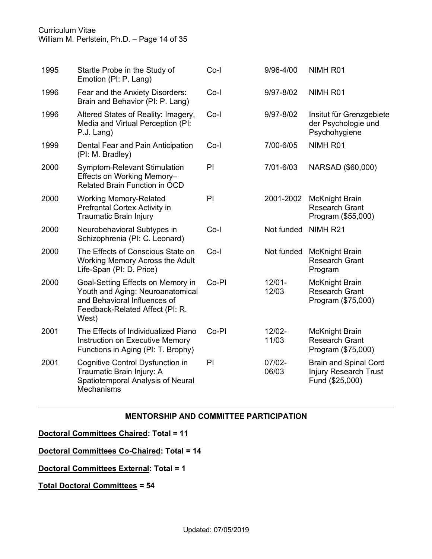Curriculum Vitae

William M. Perlstein, Ph.D. – Page 14 of 35

| 1995 | Startle Probe in the Study of<br>Emotion (PI: P. Lang)                                                                                            | $Co-I$ | 9/96-4/00          | NIMH <sub>R01</sub>                                                             |
|------|---------------------------------------------------------------------------------------------------------------------------------------------------|--------|--------------------|---------------------------------------------------------------------------------|
| 1996 | Fear and the Anxiety Disorders:<br>Brain and Behavior (PI: P. Lang)                                                                               | $Co-I$ | 9/97-8/02          | NIMH <sub>R01</sub>                                                             |
| 1996 | Altered States of Reality: Imagery,<br>Media and Virtual Perception (PI:<br>P.J. Lang)                                                            | $Co-I$ | 9/97-8/02          | Insitut für Grenzgebiete<br>der Psychologie und<br>Psychohygiene                |
| 1999 | Dental Fear and Pain Anticipation<br>(PI: M. Bradley)                                                                                             | Co-l   | 7/00-6/05          | NIMH <sub>R01</sub>                                                             |
| 2000 | Symptom-Relevant Stimulation<br>Effects on Working Memory-<br><b>Related Brain Function in OCD</b>                                                | PI     | 7/01-6/03          | NARSAD (\$60,000)                                                               |
| 2000 | <b>Working Memory-Related</b><br>Prefrontal Cortex Activity in<br>Traumatic Brain Injury                                                          | PI     | 2001-2002          | <b>McKnight Brain</b><br><b>Research Grant</b><br>Program (\$55,000)            |
| 2000 | Neurobehavioral Subtypes in<br>Schizophrenia (PI: C. Leonard)                                                                                     | $Co-I$ | Not funded         | NIMH <sub>R21</sub>                                                             |
| 2000 | The Effects of Conscious State on<br>Working Memory Across the Adult<br>Life-Span (PI: D. Price)                                                  | $Co-I$ | Not funded         | <b>McKnight Brain</b><br><b>Research Grant</b><br>Program                       |
| 2000 | Goal-Setting Effects on Memory in<br>Youth and Aging: Neuroanatomical<br>and Behavioral Influences of<br>Feedback-Related Affect (PI: R.<br>West) | Co-PI  | $12/01 -$<br>12/03 | <b>McKnight Brain</b><br><b>Research Grant</b><br>Program (\$75,000)            |
| 2001 | The Effects of Individualized Piano<br>Instruction on Executive Memory<br>Functions in Aging (PI: T. Brophy)                                      | Co-PI  | 12/02-<br>11/03    | McKnight Brain<br><b>Research Grant</b><br>Program (\$75,000)                   |
| 2001 | Cognitive Control Dysfunction in<br>Traumatic Brain Injury: A<br>Spatiotemporal Analysis of Neural<br>Mechanisms                                  | PI     | $07/02 -$<br>06/03 | <b>Brain and Spinal Cord</b><br><b>Injury Research Trust</b><br>Fund (\$25,000) |

# **MENTORSHIP AND COMMITTEE PARTICIPATION**

**Doctoral Committees Chaired: Total = 11**

**Doctoral Committees Co-Chaired: Total = 14**

**Doctoral Committees External: Total = 1**

**Total Doctoral Committees = 54**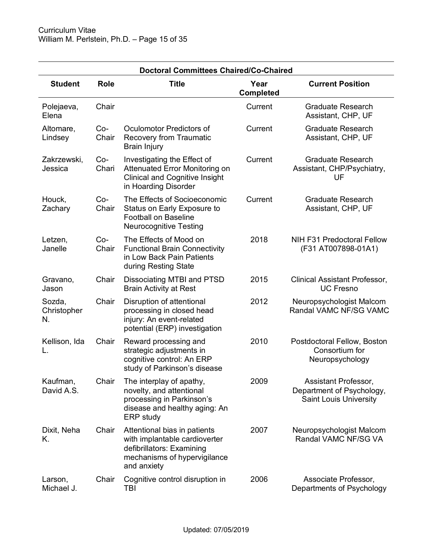| <b>Doctoral Committees Chaired/Co-Chaired</b> |                |                                                                                                                                           |                          |                                                                                    |  |
|-----------------------------------------------|----------------|-------------------------------------------------------------------------------------------------------------------------------------------|--------------------------|------------------------------------------------------------------------------------|--|
| <b>Student</b>                                | <b>Role</b>    | <b>Title</b>                                                                                                                              | Year<br><b>Completed</b> | <b>Current Position</b>                                                            |  |
| Polejaeva,<br>Elena                           | Chair          |                                                                                                                                           | Current                  | <b>Graduate Research</b><br>Assistant, CHP, UF                                     |  |
| Altomare,<br>Lindsey                          | $Co-$<br>Chair | Oculomotor Predictors of<br><b>Recovery from Traumatic</b><br>Brain Injury                                                                | Current                  | <b>Graduate Research</b><br>Assistant, CHP, UF                                     |  |
| Zakrzewski,<br>Jessica                        | $Co-$<br>Chari | Investigating the Effect of<br>Attenuated Error Monitoring on<br><b>Clinical and Cognitive Insight</b><br>in Hoarding Disorder            | Current                  | <b>Graduate Research</b><br>Assistant, CHP/Psychiatry,<br>UF                       |  |
| Houck,<br>Zachary                             | $Co-$<br>Chair | The Effects of Socioeconomic<br>Status on Early Exposure to<br><b>Football on Baseline</b><br><b>Neurocognitive Testing</b>               | Current                  | <b>Graduate Research</b><br>Assistant, CHP, UF                                     |  |
| Letzen,<br>Janelle                            | $Co-$<br>Chair | The Effects of Mood on<br><b>Functional Brain Connectivity</b><br>in Low Back Pain Patients<br>during Resting State                       | 2018                     | <b>NIH F31 Predoctoral Fellow</b><br>(F31 AT007898-01A1)                           |  |
| Gravano,<br>Jason                             | Chair          | Dissociating MTBI and PTSD<br><b>Brain Activity at Rest</b>                                                                               | 2015                     | <b>Clinical Assistant Professor,</b><br><b>UC Fresno</b>                           |  |
| Sozda,<br>Christopher<br>N.                   | Chair          | Disruption of attentional<br>processing in closed head<br>injury: An event-related<br>potential (ERP) investigation                       | 2012                     | Neuropsychologist Malcom<br>Randal VAMC NF/SG VAMC                                 |  |
| Kellison, Ida                                 | Chair          | Reward processing and<br>strategic adjustments in<br>cognitive control: An ERP<br>study of Parkinson's disease                            | 2010                     | Postdoctoral Fellow, Boston<br>Consortium for<br>Neuropsychology                   |  |
| Kaufman,<br>David A.S.                        | Chair          | The interplay of apathy,<br>novelty, and attentional<br>processing in Parkinson's<br>disease and healthy aging: An<br>ERP study           | 2009                     | Assistant Professor,<br>Department of Psychology,<br><b>Saint Louis University</b> |  |
| Dixit, Neha<br>Κ.                             | Chair          | Attentional bias in patients<br>with implantable cardioverter<br>defibrillators: Examining<br>mechanisms of hypervigilance<br>and anxiety | 2007                     | Neuropsychologist Malcom<br>Randal VAMC NF/SG VA                                   |  |
| Larson,<br>Michael J.                         | Chair          | Cognitive control disruption in<br>TBI                                                                                                    | 2006                     | Associate Professor,<br>Departments of Psychology                                  |  |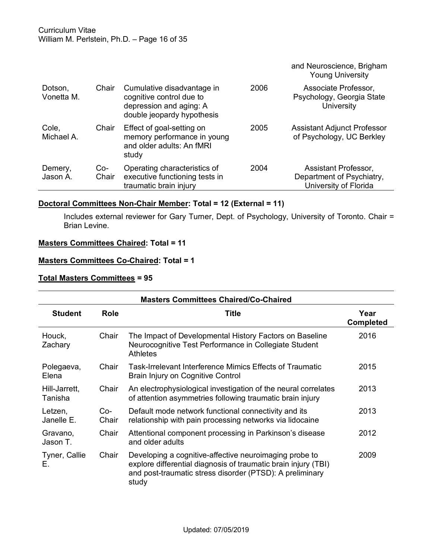|                       |              |                                                                                                                 |      | and Neuroscience, Brigham<br><b>Young University</b>                       |
|-----------------------|--------------|-----------------------------------------------------------------------------------------------------------------|------|----------------------------------------------------------------------------|
| Dotson,<br>Vonetta M. | Chair        | Cumulative disadvantage in<br>cognitive control due to<br>depression and aging: A<br>double jeopardy hypothesis | 2006 | Associate Professor,<br>Psychology, Georgia State<br>University            |
| Cole,<br>Michael A.   | Chair        | Effect of goal-setting on<br>memory performance in young<br>and older adults: An fMRI<br>study                  | 2005 | Assistant Adjunct Professor<br>of Psychology, UC Berkley                   |
| Demery,<br>Jason A.   | Co-<br>Chair | Operating characteristics of<br>executive functioning tests in<br>traumatic brain injury                        | 2004 | Assistant Professor,<br>Department of Psychiatry,<br>University of Florida |

# **Doctoral Committees Non-Chair Member: Total = 12 (External = 11)**

Includes external reviewer for Gary Turner, Dept. of Psychology, University of Toronto. Chair = Brian Levine.

# **Masters Committees Chaired: Total = 11**

### **Masters Committees Co-Chaired: Total = 1**

# **Total Masters Committees = 95**

| <b>Masters Committees Chaired/Co-Chaired</b> |              |                                                                                                                                                                                               |                          |  |  |
|----------------------------------------------|--------------|-----------------------------------------------------------------------------------------------------------------------------------------------------------------------------------------------|--------------------------|--|--|
| <b>Student</b>                               | <b>Role</b>  | Title                                                                                                                                                                                         | Year<br><b>Completed</b> |  |  |
| Houck,<br>Zachary                            | Chair        | The Impact of Developmental History Factors on Baseline<br>Neurocognitive Test Performance in Collegiate Student<br><b>Athletes</b>                                                           | 2016                     |  |  |
| Polegaeva,<br>Elena                          | Chair        | Task-Irrelevant Interference Mimics Effects of Traumatic<br>Brain Injury on Cognitive Control                                                                                                 | 2015                     |  |  |
| Hill-Jarrett,<br>Tanisha                     | Chair        | An electrophysiological investigation of the neural correlates<br>of attention asymmetries following traumatic brain injury                                                                   | 2013                     |  |  |
| Letzen,<br>Janelle E.                        | Co-<br>Chair | Default mode network functional connectivity and its<br>relationship with pain processing networks via lidocaine                                                                              | 2013                     |  |  |
| Gravano,<br>Jason T.                         | Chair        | Attentional component processing in Parkinson's disease<br>and older adults                                                                                                                   | 2012                     |  |  |
| Tyner, Callie<br>Е.                          | Chair        | Developing a cognitive-affective neuroimaging probe to<br>explore differential diagnosis of traumatic brain injury (TBI)<br>and post-traumatic stress disorder (PTSD): A preliminary<br>study | 2009                     |  |  |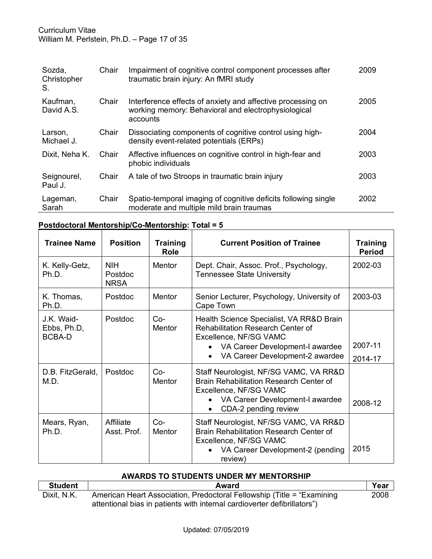# Curriculum Vitae William M. Perlstein, Ph.D. – Page 17 of 35

| Sozda,<br>Christopher<br>S. | Chair | Impairment of cognitive control component processes after<br>traumatic brain injury: An fMRI study                             | 2009 |
|-----------------------------|-------|--------------------------------------------------------------------------------------------------------------------------------|------|
| Kaufman,<br>David A.S.      | Chair | Interference effects of anxiety and affective processing on<br>working memory: Behavioral and electrophysiological<br>accounts | 2005 |
| Larson,<br>Michael J.       | Chair | Dissociating components of cognitive control using high-<br>density event-related potentials (ERPs)                            | 2004 |
| Dixit, Neha K.              | Chair | Affective influences on cognitive control in high-fear and<br>phobic individuals                                               | 2003 |
| Seignourel,<br>Paul J.      | Chair | A tale of two Stroops in traumatic brain injury                                                                                | 2003 |
| Lageman,<br>Sarah           | Chair | Spatio-temporal imaging of cognitive deficits following single<br>moderate and multiple mild brain traumas                     | 2002 |

# **Postdoctoral Mentorship/Co-Mentorship: Total = 5**

| <b>Trainee Name</b>                        | <b>Position</b>                      | <b>Training</b><br>Role | <b>Current Position of Trainee</b>                                                                                                                                                   | <b>Training</b><br><b>Period</b> |
|--------------------------------------------|--------------------------------------|-------------------------|--------------------------------------------------------------------------------------------------------------------------------------------------------------------------------------|----------------------------------|
| K. Kelly-Getz,<br>Ph.D.                    | <b>NIH</b><br>Postdoc<br><b>NRSA</b> | Mentor                  | Dept. Chair, Assoc. Prof., Psychology,<br><b>Tennessee State University</b>                                                                                                          | 2002-03                          |
| K. Thomas,<br>Ph.D.                        | Postdoc                              | Mentor                  | Senior Lecturer, Psychology, University of<br>Cape Town                                                                                                                              | 2003-03                          |
| J.K. Waid-<br>Ebbs, Ph.D,<br><b>BCBA-D</b> | Postdoc                              | $Co-$<br><b>Mentor</b>  | Health Science Specialist, VA RR&D Brain<br><b>Rehabilitation Research Center of</b><br>Excellence, NF/SG VAMC<br>VA Career Development-I awardee<br>VA Career Development-2 awardee | 2007-11<br>2014-17               |
| D.B. FitzGerald,<br>M.D.                   | Postdoc                              | $Co-$<br>Mentor         | Staff Neurologist, NF/SG VAMC, VA RR&D<br>Brain Rehabilitation Research Center of<br>Excellence, NF/SG VAMC<br>VA Career Development-I awardee<br>CDA-2 pending review               | 2008-12                          |
| Mears, Ryan,<br>Ph.D.                      | Affiliate<br>Asst. Prof.             | $Co-$<br>Mentor         | Staff Neurologist, NF/SG VAMC, VA RR&D<br>Brain Rehabilitation Research Center of<br>Excellence, NF/SG VAMC<br>VA Career Development-2 (pending<br>review)                           | 2015                             |

#### **AWARDS TO STUDENTS UNDER MY MENTORSHIP**

| <b>Student</b> | Award                                                                    | Year |
|----------------|--------------------------------------------------------------------------|------|
| Dixit, N.K.    | American Heart Association, Predoctoral Fellowship (Title = "Examining") | 2008 |
|                | attentional bias in patients with internal cardioverter defibrillators") |      |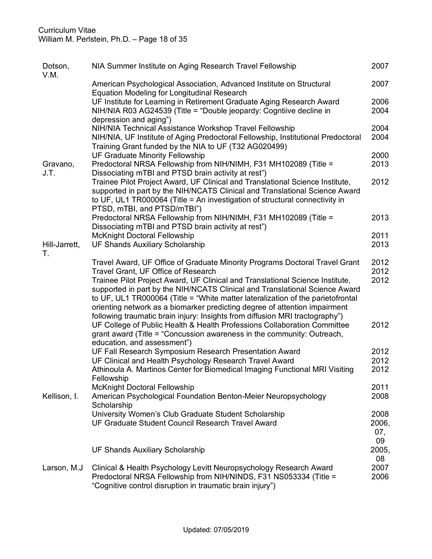# Curriculum Vitae William M. Perlstein, Ph.D. – Page 18 of 35

| Dotson,<br>V.M.     | NIA Summer Institute on Aging Research Travel Fellowship                                                                                                                                                                                                                                                                                                                                                                                                                                                                            | 2007                       |
|---------------------|-------------------------------------------------------------------------------------------------------------------------------------------------------------------------------------------------------------------------------------------------------------------------------------------------------------------------------------------------------------------------------------------------------------------------------------------------------------------------------------------------------------------------------------|----------------------------|
|                     | American Psychological Association, Advanced Institute on Structural<br>Equation Modeling for Longitudinal Research                                                                                                                                                                                                                                                                                                                                                                                                                 | 2007                       |
|                     | UF Institute for Learning in Retirement Graduate Aging Research Award<br>NIH/NIA R03 AG24539 (Title = "Double jeopardy: Cogntiive decline in<br>depression and aging")                                                                                                                                                                                                                                                                                                                                                              | 2006<br>2004               |
|                     | NIH/NIA Technical Assistance Workshop Travel Fellowship<br>NIH/NIA, UF Institute of Aging Predoctoral Fellowship, Institutional Predoctoral<br>Training Grant funded by the NIA to UF (T32 AG020499)                                                                                                                                                                                                                                                                                                                                | 2004<br>2004               |
| Gravano,<br>J.T.    | <b>UF Graduate Minority Fellowship</b><br>Predoctoral NRSA Fellowship from NIH/NIMH, F31 MH102089 (Title =<br>Dissociating mTBI and PTSD brain activity at rest")                                                                                                                                                                                                                                                                                                                                                                   | 2000<br>2013               |
|                     | Trainee Pilot Project Award, UF Clinical and Translational Science Institute,<br>supported in part by the NIH/NCATS Clinical and Translational Science Award<br>to UF, UL1 TR000064 (Title = An investigation of structural connectivity in<br>PTSD, mTBI, and PTSD/mTBI")                                                                                                                                                                                                                                                          | 2012                       |
|                     | Predoctoral NRSA Fellowship from NIH/NIMH, F31 MH102089 (Title =<br>Dissociating mTBI and PTSD brain activity at rest")                                                                                                                                                                                                                                                                                                                                                                                                             | 2013                       |
|                     | McKnight Doctoral Fellowship                                                                                                                                                                                                                                                                                                                                                                                                                                                                                                        | 2011                       |
| Hill-Jarrett,<br>Τ. | <b>UF Shands Auxiliary Scholarship</b>                                                                                                                                                                                                                                                                                                                                                                                                                                                                                              | 2013                       |
|                     | Travel Award, UF Office of Graduate Minority Programs Doctoral Travel Grant<br>Travel Grant, UF Office of Research<br>Trainee Pilot Project Award, UF Clinical and Translational Science Institute,<br>supported in part by the NIH/NCATS Clinical and Translational Science Award<br>to UF, UL1 TR000064 (Title = "White matter lateralization of the parietofrontal<br>orienting network as a biomarker predicting degree of attention impairment<br>following traumatic brain injury: Insights from diffusion MRI tractography") | 2012<br>2012<br>2012       |
|                     | UF College of Public Health & Health Professions Collaboration Committee<br>grant award (Title = "Concussion awareness in the community: Outreach,<br>education, and assessment")                                                                                                                                                                                                                                                                                                                                                   | 2012                       |
|                     | UF Fall Research Symposium Research Presentation Award<br>UF Clinical and Health Psychology Research Travel Award<br>Athinoula A. Martinos Center for Biomedical Imaging Functional MRI Visiting<br>Fellowship                                                                                                                                                                                                                                                                                                                      | 2012<br>2012<br>2012       |
| Kellison, I.        | <b>McKnight Doctoral Fellowship</b><br>American Psychological Foundation Benton-Meier Neuropsychology<br>Scholarship                                                                                                                                                                                                                                                                                                                                                                                                                | 2011<br>2008               |
|                     | University Women's Club Graduate Student Scholarship<br>UF Graduate Student Council Research Travel Award                                                                                                                                                                                                                                                                                                                                                                                                                           | 2008<br>2006,<br>07,<br>09 |
|                     | <b>UF Shands Auxiliary Scholarship</b>                                                                                                                                                                                                                                                                                                                                                                                                                                                                                              | 2005,<br>08                |
| Larson, M.J         | Clinical & Health Psychology Levitt Neuropsychology Research Award<br>Predoctoral NRSA Fellowship from NIH/NINDS, F31 NS053334 (Title =<br>"Cognitive control disruption in traumatic brain injury")                                                                                                                                                                                                                                                                                                                                | 2007<br>2006               |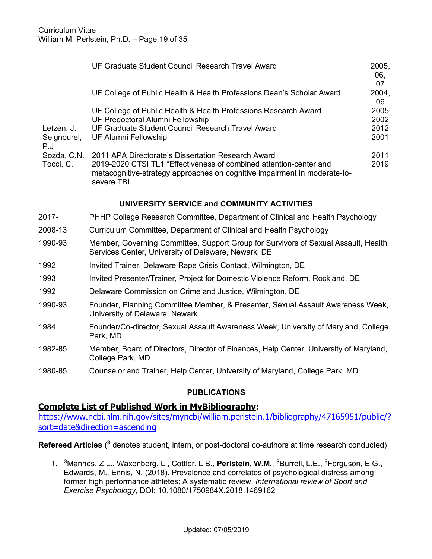|                    | UF Graduate Student Council Research Travel Award                                                                                                              | 2005,<br>06.<br>07 |
|--------------------|----------------------------------------------------------------------------------------------------------------------------------------------------------------|--------------------|
|                    | UF College of Public Health & Health Professions Dean's Scholar Award                                                                                          | 2004,<br>06        |
|                    | UF College of Public Health & Health Professions Research Award                                                                                                | 2005               |
|                    | UF Predoctoral Alumni Fellowship                                                                                                                               | 2002               |
| Letzen, J.         | UF Graduate Student Council Research Travel Award                                                                                                              | 2012               |
| Seignourel,<br>P.J | UF Alumni Fellowship                                                                                                                                           | 2001               |
| Sozda, C.N.        | 2011 APA Directorate's Dissertation Research Award                                                                                                             | 2011               |
| Tocci, C.          | 2019-2020 CTSI TL1 "Effectiveness of combined attention-center and<br>metacognitive-strategy approaches on cognitive impairment in moderate-to-<br>severe TBI. | 2019               |

# **UNIVERSITY SERVICE and COMMUNITY ACTIVITIES**

- 2017- PHHP College Research Committee, Department of Clinical and Health Psychology
- 2008-13 Curriculum Committee, Department of Clinical and Health Psychology
- 1990-93 Member, Governing Committee, Support Group for Survivors of Sexual Assault, Health Services Center, University of Delaware, Newark, DE
- 1992 Invited Trainer, Delaware Rape Crisis Contact, Wilmington, DE
- 1993 Invited Presenter/Trainer, Project for Domestic Violence Reform, Rockland, DE
- 1992 Delaware Commission on Crime and Justice, Wilmington, DE
- 1990-93 Founder, Planning Committee Member, & Presenter, Sexual Assault Awareness Week, University of Delaware, Newark
- 1984 Founder/Co-director, Sexual Assault Awareness Week, University of Maryland, College Park, MD
- 1982-85 Member, Board of Directors, Director of Finances, Help Center, University of Maryland, College Park, MD
- 1980-85 Counselor and Trainer, Help Center, University of Maryland, College Park, MD

#### **PUBLICATIONS**

#### **Complete List of Published Work in MyBibliography:**

https://www.ncbi.nlm.nih.gov/sites/myncbi/william.perlstein.1/bibliography/47165951/public/? sort=date&direction=ascending

**Refereed Articles** ( <sup>S</sup> denotes student, intern, or post-doctoral co-authors at time research conducted)

1. <sup>S</sup>Mannes, Z.L., Waxenberg, L., Cottler, L.B., Perlstein, W.M., <sup>S</sup>Burrell, L.E., <sup>S</sup>Ferguson, E.G., Edwards, M., Ennis, N. (2018). Prevalence and correlates of psychological distress among former high performance athletes: A systematic review. *International review of Sport and Exercise Psychology*, DOI: 10.1080/1750984X.2018.1469162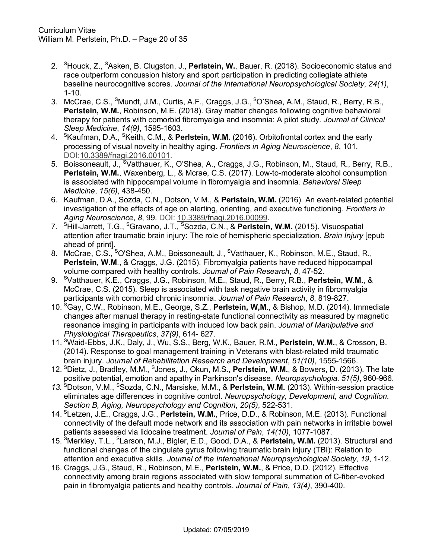- 2. <sup>S</sup> Houck, Z., <sup>S</sup> Asken, B. Clugston, J., **Perlstein, W.**, Bauer, R. (2018). Socioeconomic status and race outperform concussion history and sport participation in predicting collegiate athlete baseline neurocognitive scores. *Journal of the International Neuropsychological Society*, *24(1)*, 1-10.
- 3. McCrae, C.S., <sup>S</sup>Mundt, J.M., Curtis, A.F., Craggs, J.G., <sup>S</sup>O'Shea, A.M., Staud, R., Berry, R.B., **Perlstein, W.M.**, Robinson, M.E. (2018). Gray matter changes following cognitive behavioral therapy for patients with comorbid fibromyalgia and insomnia: A pilot study. *Journal of Clinical Sleep Medicine*, *14(9)*, 1595-1603.
- 4. SKaufman, D.A., SKeith, C.M., & **Perlstein, W.M.** (2016). Orbitofrontal cortex and the early processing of visual novelty in healthy aging. *Frontiers in Aging Neuroscience*, *8*, 101. DOI:10.3389/fnagi.2016.00101.
- 5. Boissoneault, J., <sup>s</sup>Vatthauer, K., O'Shea, A., Craggs, J.G., Robinson, M., Staud, R., Berry, R.B., **Perlstein, W.M.**, Waxenberg, L., & Mcrae, C.S. (2017). Low-to-moderate alcohol consumption is associated with hippocampal volume in fibromyalgia and insomnia. *Behavioral Sleep Medicine*, *15(6)*, 438-450.
- 6. Kaufman, D.A., Sozda, C.N., Dotson, V.M., & **Perlstein, W.M.** (2016). An event-related potential investigation of the effects of age on alerting, orienting, and executive functioning. *Frontiers in Aging Neuroscience*, *8*, 99. DOI: 10.3389/fnagi.2016.00099.
- 7. <sup>S</sup> Hill-Jarrett, T.G., <sup>S</sup> Gravano, J.T., SSozda, C.N., & **Perlstein, W.M.** (2015). Visuospatial attention after traumatic brain injury: The role of hemispheric specialization. *Brain Injury* [epub ahead of print].
- 8. McCrae, C.S., <sup>s</sup>O'Shea, A.M., Boissoneault, J., <sup>s</sup>Vatthauer, K., Robinson, M.E., Staud, R., **Perlstein, W.M**., & Craggs, J.G. (2015). Fibromyalgia patients have reduced hippocampal volume compared with healthy controls. *Journal of Pain Research*, *8*, 47-52.
- 9. <sup>S</sup> Vatthauer, K.E., Craggs, J.G., Robinson, M.E., Staud, R., Berry, R.B., **Perlstein, W.M.**, & McCrae, C.S. (2015). Sleep is associated with task negative brain activity in fibromyalgia participants with comorbid chronic insomnia. *Journal of Pain Research*, *8*, 819-827.
- 10. <sup>S</sup> Gay, C.W., Robinson, M.E., George, S.Z., **Perlstein, W,M**., & Bishop, M.D. (2014). Immediate changes after manual therapy in resting-state functional connectivity as measured by magnetic resonance imaging in participants with induced low back pain. *Journal of Manipulative and Physiological Therapeutics*, *37(9)*, 614- 627.
- 11. <sup>S</sup> Waid-Ebbs, J.K., Daly, J., Wu, S.S., Berg, W.K., Bauer, R.M., **Perlstein, W.M.**, & Crosson, B. (2014). Response to goal management training in Veterans with blast-related mild traumatic brain injury. *Journal of Rehabilitation Research and Development*, *51(10)*, 1555-1566.
- 12. <sup>S</sup> Dietz, J., Bradley, M.M., <sup>S</sup> Jones, J., Okun, M.S., **Perlstein, W.M.**, & Bowers, D. (2013). The late positive potential, emotion and apathy in Parkinson's disease. *Neuropsychologia*. *51(5)*, 960-966.
- *13.* SDotson, V.M., SSozda, C.N., Marsiske, M.M., & **Perlstein, W.M.** (2013). Within-session practice eliminates age differences in cognitive control. *Neuropsychology, Development, and Cognition. Section B, Aging, Neuropsychology and Cognition*, *20(5)*, 522-531.
- 14. SLetzen, J.E., Craggs, J.G., **Perlstein, W.M.**, Price, D.D., & Robinson, M.E. (2013). Functional connectivity of the default mode network and its association with pain networks in irritable bowel patients assessed via lidocaine treatment. *Journal of Pain*, *14(10)*, 1077-1087.
- 15. <sup>S</sup>Merkley, T.L., <sup>S</sup>Larson, M.J., Bigler, E.D., Good, D.A., & Perlstein, W.M. (2013). Structural and functional changes of the cingulate gyrus following traumatic brain injury (TBI): Relation to attention and executive skills. *Journal of the International Neuropsychological Society*, *19*, 1-12.
- 16. Craggs, J.G., Staud, R., Robinson, M.E., **Perlstein, W.M.**, & Price, D.D. (2012). Effective connectivity among brain regions associated with slow temporal summation of C-fiber-evoked pain in fibromyalgia patients and healthy controls. *Journal of Pain*, *13(4)*, 390-400.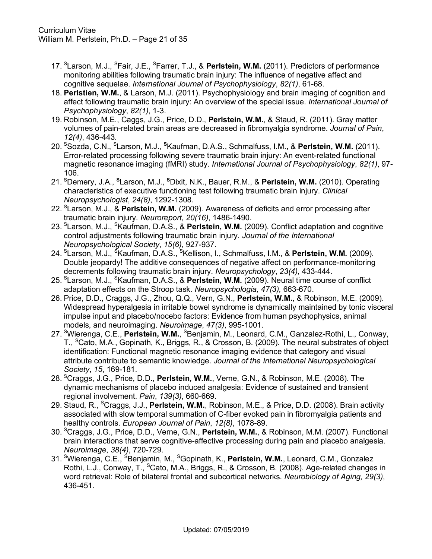- 17. <sup>S</sup>Larson, M.J., <sup>S</sup>Fair, J.E., <sup>S</sup>Farrer, T.J., & Perlstein, W.M. (2011). Predictors of performance monitoring abilities following traumatic brain injury: The influence of negative affect and cognitive sequelae. *International Journal of Psychophysiology*, *82(1)*, 61-68.
- 18. **Perlstien, W.M.**, & Larson, M.J. (2011). Psychophysiology and brain imaging of cognition and affect following traumatic brain injury: An overview of the special issue. *International Journal of Psychophysiology*, *82(1)*, 1-3.
- 19. Robinson, M.E., Caggs, J.G., Price, D.D., **Perlstein, W.M.**, & Staud, R. (2011). Gray matter volumes of pain-related brain areas are decreased in fibromyalgia syndrome. *Journal of Pain*, *12(4)*, 436-443.
- 20. <sup>S</sup> Sozda, C.N., SLarson, M.J., **<sup>S</sup>** Kaufman, D.A.S., Schmalfuss, I.M., & **Perlstein, W.M.** (2011). Error-related processing following severe traumatic brain injury: An event-related functional magnetic resonance imaging (fMRI) study. *International Journal of Psychophysiology*, *82(1)*, 97- 106.
- 21. <sup>S</sup>Demery, J.A., <sup>s</sup>Larson, M.J., <sup>s</sup>Dixit, N.K., Bauer, R.M., & Perlstein, W.M. (2010). Operating characteristics of executive functioning test following traumatic brain injury. *Clinical Neuropsychologist*, *24(8)*, 1292-1308.
- 22. <sup>S</sup> Larson, M.J., & **Perlstein, W.M.** (2009). Awareness of deficits and error processing after traumatic brain injury. *Neuroreport*, *20(16)*, 1486-1490.
- 23. <sup>s</sup>Larson, M.J., <sup>s</sup>Kaufman, D.A.S., & **Perlstein, W.M.** (2009). Conflict adaptation and cognitive control adjustments following traumatic brain injury. *Journal of the International Neuropsychological Society*, *15(6)*, 927-937.
- 24. <sup>s</sup>Larson, M.J., <sup>s</sup>Kaufman, D.A.S., <sup>s</sup>Kellison, I., Schmalfuss, I.M., & **Perlstein, W.M.** (2009). Double jeopardy! The additive consequences of negative affect on performance-monitoring decrements following traumatic brain injury. *Neuropsychology*, *23(4)*, 433-444*.*
- 25. <sup>S</sup> Larson, M.J., <sup>S</sup> Kaufman, D.A.S., & **Perlstein, W.M.** (2009). Neural time course of conflict adaptation effects on the Stroop task. *Neuropsychologia, 47(3),* 663-670.
- 26. Price, D.D., Craggs, J.G., Zhou, Q.Q., Vern, G.N., **Perlstein, W.M.**, & Robinson, M.E. (2009). Widespread hyperalgesia in irritable bowel syndrome is dynamically maintained by tonic visceral impulse input and placebo/nocebo factors: Evidence from human psychophysics, animal models, and neuroimaging. *Neuroimage*, *47(3)*, 995-1001.
- 27. <sup>s</sup>Wierenga, C.E., Perlstein, W.M., <sup>s</sup>Benjamin, M., Leonard, C.M., Ganzalez-Rothi, L., Conway, T., <sup>S</sup>Cato, M.A., Gopinath, K., Briggs, R., & Crosson, B. (2009). The neural substrates of object identification: Functional magnetic resonance imaging evidence that category and visual attribute contribute to semantic knowledge. *Journal of the International Neuropsychological Society*, *15*, 169-181.
- 28. SCraggs, J.G., Price, D.D., **Perlstein, W.M.**, Verne, G.N., & Robinson, M.E. (2008). The dynamic mechanisms of placebo induced analgesia: Evidence of sustained and transient regional involvement. *Pain*, *139(3)*, 660-669.
- 29. Staud, R., SCraggs, J.J., **Perlstein, W.M.**, Robinson, M.E., & Price, D.D. (2008). Brain activity associated with slow temporal summation of C-fiber evoked pain in fibromyalgia patients and healthy controls. *European Journal of Pain*, *12(8)*, 1078-89.
- 30. SCraggs, J.G., Price, D.D., Verne, G.N., **Perlstein, W.M.**, & Robinson, M.M. (2007). Functional brain interactions that serve cognitive-affective processing during pain and placebo analgesia. *Neuroimage*, *38(4)*, 720-729.
- 31. <sup>s</sup>Wierenga, C.E., <sup>s</sup>Benjamin, M., <sup>s</sup>Gopinath, K., **Perlstein, W.M.**, Leonard, C.M., Gonzalez Rothi, L.J., Conway, T., <sup>S</sup>Cato, M.A., Briggs, R., & Crosson, B. (2008). Age-related changes in word retrieval: Role of bilateral frontal and subcortical networks. *Neurobiology of Aging, 29(3)*, 436-451.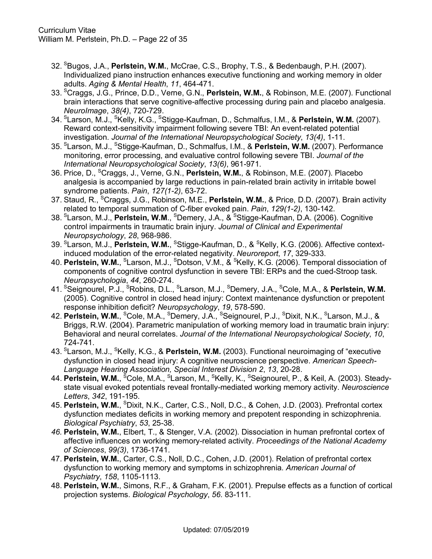- 32. <sup>S</sup> Bugos, J.A., **Perlstein, W.M.**, McCrae, C.S., Brophy, T.S., & Bedenbaugh, P.H. (2007). Individualized piano instruction enhances executive functioning and working memory in older adults. *Aging & Mental Health*, *11*, 464-471.
- 33. <sup>S</sup> Craggs, J.G., Prince, D.D., Verne, G.N., **Perlstein, W.M.**, & Robinson, M.E. (2007). Functional brain interactions that serve cognitive-affective processing during pain and placebo analgesia. *NeuroImage*, *38(4)*, 720-729.
- 34. SLarson, M.J., SKelly, K.G., SStigge-Kaufman, D., Schmalfus, I.M., & **Perlstein, W.M.** (2007). Reward context-sensitivity impairment following severe TBI: An event-related potential investigation. *Journal of the International Neuropsychological Society*, *13(4)*, 1-11.
- 35. <sup>S</sup> Larson, M.J., <sup>S</sup> Stigge-Kaufman, D., Schmalfus, I.M., & **Perlstein, W.M.** (2007). Performance monitoring, error processing, and evaluative control following severe TBI. *Journal of the International Neuropsychological Society*, *13(6)*, 961-971.
- 36. Price, D., SCraggs, J., Verne, G.N., **Perlstein, W.M.**, & Robinson, M.E. (2007). Placebo analgesia is accompanied by large reductions in pain-related brain activity in irritable bowel syndrome patients. *Pain*, *127(1-2)*, 63-72.
- 37. Staud, R., <sup>S</sup>Craggs, J.G., Robinson, M.E., **Perlstein, W.M.**, & Price, D.D. (2007). Brain activity related to temporal summation of C-fiber evoked pain. *Pain*, *129(1-2)*, 130-142.
- 38. SLarson, M.J., **Perlstein, W.M**., SDemery, J.A., & SStigge-Kaufman, D.A. (2006). Cognitive control impairments in traumatic brain injury. *Journal of Clinical and Experimental Neuropsychology*, *28*, 968-986.
- 39. SLarson, M.J., **Perlstein, W.M.**, SStigge-Kaufman, D., & SKelly, K.G. (2006). Affective contextinduced modulation of the error-related negativity. *Neuroreport*, *17*, 329-333.
- 40. **Perlstein, W.M.**, <sup>s</sup>Larson, M.J., <sup>s</sup>Dotson, V.M., & <sup>s</sup>Kelly, K.G. (2006). Temporal dissociation of components of cognitive control dysfunction in severe TBI: ERPs and the cued-Stroop task. *Neuropsychologia*, *44*, 260-274.
- 41. <sup>S</sup> Seignourel, P.J., <sup>S</sup> Robins, D.L., <sup>S</sup> Larson, M.J., <sup>S</sup> Demery, J.A., <sup>S</sup> Cole, M.A., & **Perlstein, W.M.** (2005). Cognitive control in closed head injury: Context maintenance dysfunction or prepotent response inhibition deficit? *Neuropsychology*, *19*, 578-590.
- 42. **Perlstein, W.M.**, <sup>s</sup>Cole, M.A., <sup>s</sup>Demery, J.A., <sup>s</sup>Seignourel, P.J., <sup>s</sup>Dixit, N.K., <sup>s</sup>Larson, M.J., & Briggs, R.W. (2004). Parametric manipulation of working memory load in traumatic brain injury: Behavioral and neural correlates. *Journal of the International Neuropsychological Society*, *10*, 724-741.
- 43. <sup>S</sup> Larson, M.J., <sup>S</sup> Kelly, K.G., & **Perlstein, W.M.** (2003). Functional neuroimaging of "executive dysfunction in closed head injury: A cognitive neuroscience perspective. *American Speech-Language Hearing Association, Special Interest Division 2*, *13*, 20-28.
- 44. **Perlstein, W.M.**, <sup>S</sup>Cole, M.A., <sup>S</sup>Larson, M., <sup>S</sup>Kelly, K., <sup>S</sup>Seignourel, P., & Keil, A. (2003). Steadystate visual evoked potentials reveal frontally-mediated working memory activity. *Neuroscience Letters*, *342*, 191-195.
- 45. **Perlstein, W.M.**, <sup>S</sup>Dixit, N.K., Carter, C.S., Noll, D.C., & Cohen, J.D. (2003). Prefrontal cortex dysfunction mediates deficits in working memory and prepotent responding in schizophrenia. *Biological Psychiatry*, *53*, 25-38.
- *46.* **Perlstein, W.M.**, Elbert, T., & Stenger, V.A. (2002). Dissociation in human prefrontal cortex of affective influences on working memory-related activity. *Proceedings of the National Academy of Sciences*, *99(3)*, 1736-1741.
- 47. **Perlstein, W.M.**, Carter, C.S., Noll, D.C., Cohen, J.D. (2001). Relation of prefrontal cortex dysfunction to working memory and symptoms in schizophrenia. *American Journal of Psychiatry*, *158*, 1105-1113.
- 48. **Perlstein, W.M.**, Simons, R.F., & Graham, F.K. (2001). Prepulse effects as a function of cortical projection systems. *Biological Psychology*, *56*. 83-111.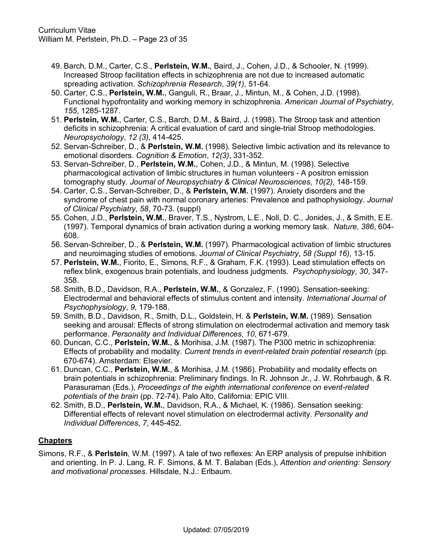- 49. Barch, D.M., Carter, C.S., **Perlstein, W.M.**, Baird, J., Cohen, J.D., & Schooler, N. (1999). Increased Stroop facilitation effects in schizophrenia are not due to increased automatic spreading activation. *Schizophrenia Research*, *39(1)*, 51-64.
- 50. Carter, C.S., **Perlstein, W.M.**, Ganguli, R., Braar, J., Mintun, M., & Cohen, J.D. (1998). Functional hypofrontality and working memory in schizophrenia. *American Journal of Psychiatry*, *155*, 1285-1287.
- 51. **Perlstein, W.M.**, Carter, C.S., Barch, D.M., & Baird, J. (1998). The Stroop task and attention deficits in schizophrenia: A critical evaluation of card and single-trial Stroop methodologies. *Neuropsychology*, *12 (3)*, 414-425.
- 52. Servan-Schreiber, D., & **Perlstein, W.M.** (1998). Selective limbic activation and its relevance to emotional disorders. *Cognition & Emotion*, *12(3)*, 331-352.
- 53. Servan-Schreiber, D., **Perlstein, W.M.**, Cohen, J.D., & Mintun, M. (1998). Selective pharmacological activation of limbic structures in human volunteers - A positron emission tomography study. *Journal of Neuropsychiatry & Clinical Neurosciences*, *10(2)*, 148-159.
- 54. Carter, C.S., Servan-Schreiber, D., & **Perlstein, W.M.** (1997). Anxiety disorders and the syndrome of chest pain with normal coronary arteries: Prevalence and pathophysiology. *Journal of Clinical Psychiatry*, *58*, 70-73. (suppl)
- 55. Cohen, J.D., **Perlstein, W.M.**, Braver, T.S., Nystrom, L.E., Noll, D. C., Jonides, J., & Smith, E.E. (1997). Temporal dynamics of brain activation during a working memory task. *Nature*, *386*, 604- 608.
- 56. Servan-Schreiber, D., & **Perlstein, W.M.** (1997). Pharmacological activation of limbic structures and neuroimaging studies of emotions. *Journal of Clinical Psychiatry*, *58 (Suppl 16)*, 13-15.
- 57. **Perlstein, W.M.**, Fiorito, E., Simons, R.F., & Graham, F.K. (1993). Lead stimulation effects on reflex blink, exogenous brain potentials, and loudness judgments. *Psychophysiology*, *30*, 347- 358.
- 58. Smith, B.D., Davidson, R.A., **Perlstein, W.M.**, & Gonzalez, F. (1990). Sensation-seeking: Electrodermal and behavioral effects of stimulus content and intensity. *International Journal of Psychophysiology*, *9*, 179-188.
- 59. Smith, B.D., Davidson, R., Smith, D.L., Goldstein, H. & **Perlstein, W.M.** (1989). Sensation seeking and arousal: Effects of strong stimulation on electrodermal activation and memory task performance. *Personality and Individual Differences*, *10*, 671-679.
- 60. Duncan, C.C., **Perlstein, W.M.**, & Morihisa, J.M. (1987). The P300 metric in schizophrenia: Effects of probability and modality. *Current trends in event-related brain potential research* (pp. 670-674). Amsterdam: Elsevier.
- 61. Duncan, C.C., **Perlstein, W.M.**, & Morihisa, J.M. (1986). Probability and modality effects on brain potentials in schizophrenia: Preliminary findings. In R. Johnson Jr., J. W. Rohrbaugh, & R. Parasuraman (Eds.), *Proceedings of the eighth international conference on event-related potentials of the brain* (pp. 72-74). Palo Alto, California: EPIC VIII.
- 62. Smith, B.D., **Perlstein, W.M.**, Davidson, R.A., & Michael, K. (1986). Sensation seeking: Differential effects of relevant novel stimulation on electrodermal activity. *Personality and Individual Differences*, *7*, 445-452.

# **Chapters**

Simons, R.F., & **Perlstein**, W.M. (1997). A tale of two reflexes: An ERP analysis of prepulse inhibition and orienting. In P. J. Lang, R. F. Simons, & M. T. Balaban (Eds.), *Attention and orienting: Sensory and motivational processes.* Hillsdale, N.J.: Erlbaum.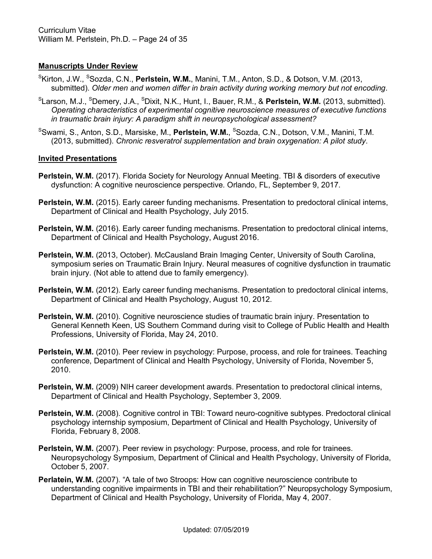# **Manuscripts Under Review**

- SKirton, J.W., SSozda, C.N., **Perlstein, W.M.**, Manini, T.M., Anton, S.D., & Dotson, V.M. (2013, submitted). *Older men and women differ in brain activity during working memory but not encoding*.
- S Larson, M.J., <sup>S</sup> Demery, J.A., SDixit, N.K., Hunt, I., Bauer, R.M., & **Perlstein, W.M.** (2013, submitted). *Operating characteristics of experimental cognitive neuroscience measures of executive functions in traumatic brain injury: A paradigm shift in neuropsychological assessment?*
- <sup>s</sup>Swami, S., Anton, S.D., Marsiske, M., **Perlstein, W.M.**, <sup>s</sup>Sozda, C.N., Dotson, V.M., Manini, T.M. (2013, submitted). *Chronic resveratrol supplementation and brain oxygenation: A pilot study*.

### **Invited Presentations**

- **Perlstein, W.M.** (2017). Florida Society for Neurology Annual Meeting. TBI & disorders of executive dysfunction: A cognitive neuroscience perspective. Orlando, FL, September 9, 2017.
- **Perlstein, W.M.** (2015). Early career funding mechanisms. Presentation to predoctoral clinical interns, Department of Clinical and Health Psychology, July 2015.
- **Perlstein, W.M.** (2016). Early career funding mechanisms. Presentation to predoctoral clinical interns, Department of Clinical and Health Psychology, August 2016.
- **Perlstein, W.M.** (2013, October). McCausland Brain Imaging Center, University of South Carolina, symposium series on Traumatic Brain Injury. Neural measures of cognitive dysfunction in traumatic brain injury. (Not able to attend due to family emergency).
- **Perlstein, W.M.** (2012). Early career funding mechanisms. Presentation to predoctoral clinical interns, Department of Clinical and Health Psychology, August 10, 2012.
- **Perlstein, W.M.** (2010). Cognitive neuroscience studies of traumatic brain injury. Presentation to General Kenneth Keen, US Southern Command during visit to College of Public Health and Health Professions, University of Florida, May 24, 2010.
- Perlstein, W.M. (2010). Peer review in psychology: Purpose, process, and role for trainees. Teaching conference, Department of Clinical and Health Psychology, University of Florida, November 5, 2010.
- **Perlstein, W.M.** (2009) NIH career development awards. Presentation to predoctoral clinical interns, Department of Clinical and Health Psychology, September 3, 2009.
- Perlstein, W.M. (2008). Cognitive control in TBI: Toward neuro-cognitive subtypes. Predoctoral clinical psychology internship symposium, Department of Clinical and Health Psychology, University of Florida, February 8, 2008.
- **Perlstein, W.M.** (2007). Peer review in psychology: Purpose, process, and role for trainees. Neuropsychology Symposium, Department of Clinical and Health Psychology, University of Florida, October 5, 2007.
- **Perlatein, W.M.** (2007). "A tale of two Stroops: How can cognitive neuroscience contribute to understanding cognitive impairments in TBI and their rehabilitation?" Neuropsychology Symposium, Department of Clinical and Health Psychology, University of Florida, May 4, 2007.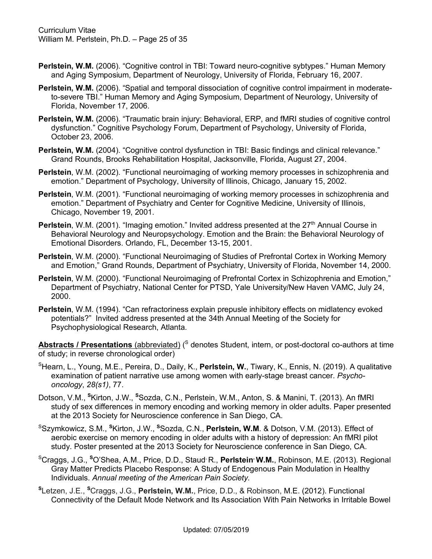- Perlstein, W.M. (2006). "Cognitive control in TBI: Toward neuro-cognitive sybtypes." Human Memory and Aging Symposium, Department of Neurology, University of Florida, February 16, 2007.
- **Perlstein, W.M.** (2006). "Spatial and temporal dissociation of cognitive control impairment in moderateto-severe TBI." Human Memory and Aging Symposium, Department of Neurology, University of Florida, November 17, 2006.
- **Perlstein, W.M.** (2006). "Traumatic brain injury: Behavioral, ERP, and fMRI studies of cognitive control dysfunction." Cognitive Psychology Forum, Department of Psychology, University of Florida, October 23, 2006.
- **Perlstein, W.M.** (2004). "Cognitive control dysfunction in TBI: Basic findings and clinical relevance." Grand Rounds, Brooks Rehabilitation Hospital, Jacksonville, Florida, August 27, 2004.
- **Perlstein**, W.M. (2002). "Functional neuroimaging of working memory processes in schizophrenia and emotion." Department of Psychology, University of Illinois, Chicago, January 15, 2002.
- **Perlstein**, W.M. (2001). "Functional neuroimaging of working memory processes in schizophrenia and emotion." Department of Psychiatry and Center for Cognitive Medicine, University of Illinois, Chicago, November 19, 2001.
- **Perlstein**, W.M. (2001). "Imaging emotion." Invited address presented at the 27<sup>th</sup> Annual Course in Behavioral Neurology and Neuropsychology. Emotion and the Brain: the Behavioral Neurology of Emotional Disorders. Orlando, FL, December 13-15, 2001.
- **Perlstein**, W.M. (2000). "Functional Neuroimaging of Studies of Prefrontal Cortex in Working Memory and Emotion," Grand Rounds, Department of Psychiatry, University of Florida, November 14, 2000.
- **Perlstein**, W.M. (2000). "Functional Neuroimaging of Prefrontal Cortex in Schizophrenia and Emotion," Department of Psychiatry, National Center for PTSD, Yale University/New Haven VAMC, July 24, 2000.
- **Perlstein**, W.M. (1994). "Can refractoriness explain prepusle inhibitory effects on midlatency evoked potentials?" Invited address presented at the 34th Annual Meeting of the Society for Psychophysiological Research, Atlanta.

Abstracts / Presentations (abbreviated) (<sup>S</sup> denotes Student, intern, or post-doctoral co-authors at time of study; in reverse chronological order)

- S Hearn, L., Young, M.E., Pereira, D., Daily, K., **Perlstein, W.**, Tiwary, K., Ennis, N. (2019). A qualitative examination of patient narrative use among women with early-stage breast cancer. *Psychooncology*, *28(s1)*, 77.
- Dotson, V.M., **<sup>S</sup>** Kirton, J.W., **<sup>S</sup>** Sozda, C.N., Perlstein, W.M., Anton, S. & Manini, T. (2013). An fMRI study of sex differences in memory encoding and working memory in older adults. Paper presented at the 2013 Society for Neuroscience conference in San Diego, CA.
- S Szymkowicz, S.M., **<sup>S</sup>** Kirton, J.W., **<sup>S</sup>**Sozda, C.N., **Perlstein, W.M**. & Dotson, V.M. (2013). Effect of aerobic exercise on memory encoding in older adults with a history of depression: An fMRI pilot study. Poster presented at the 2013 Society for Neuroscience conference in San Diego, CA.
- S Craggs, J.G., **<sup>S</sup>**O'Shea, A.M., Price, D.D., Staud, R., **Perlstein, W.M.**, Robinson, M.E. (2013). Regional Gray Matter Predicts Placebo Response: A Study of Endogenous Pain Modulation in Healthy Individuals. *Annual meeting of the American Pain Society.*
- **S** Letzen, J.E., **<sup>S</sup>**Craggs, J.G., **Perlstein, W.M.**, Price, D.D., & Robinson, M.E. (2012). Functional Connectivity of the Default Mode Network and Its Association With Pain Networks in Irritable Bowel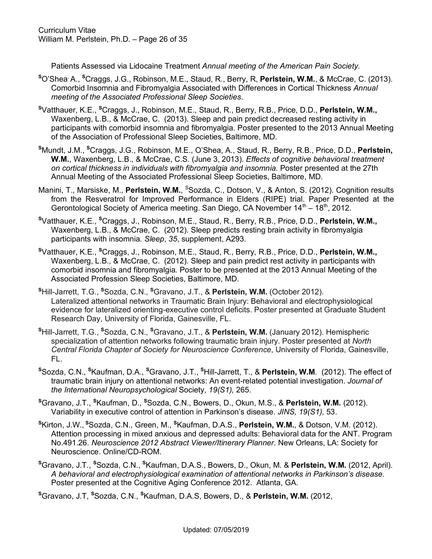Patients Assessed via Lidocaine Treatment *Annual meeting of the American Pain Society*.

- **<sup>S</sup>**O'Shea, A., **<sup>S</sup>**Craggs, J.G., Robinson, M.E., Staud, R., Berry, R, **Perlstein, W.M.**, & McCrae, C. (2013). Comorbid Insomnia and Fibromyalgia Associated with Differences in Cortical Thickness *Annual meeting of the Associated Professional Sleep Societies*.
- **<sup>S</sup>**Vatthauer, K.E., **<sup>S</sup>**Craggs, J., Robinson, M.E., Staud, R., Berry, R.B., Price, D.D., **Perlstein, W.M.,**  Waxenberg, L.B., & McCrae, C. (2013). Sleep and pain predict decreased resting activity in participants with comorbid insomnia and fibromyalgia. Poster presented to the 2013 Annual Meeting of the Association of Professional Sleep Societies, Baltimore, MD.
- **<sup>S</sup>**Mundt, J.M., **<sup>S</sup>**Craggs, J.G., Robinson, M.E., O'Shea, A., Staud, R., Berry, R.B., Price, D.D., **Perlstein, W.M.**, Waxenberg, L.B., & McCrae, C.S. (June 3, 2013). *Effects of cognitive behavioral treatment on cortical thickness in individuals with fibromyalgia and insomnia.* Poster presented at the 27th Annual Meeting of the Associated Professional Sleep Societies, Baltimore, MD.
- Manini, T., Marsiske, M., Perlstein, W.M., <sup>S</sup>Sozda, C., Dotson, V., & Anton, S. (2012). Cognition results from the Resveratrol for Improved Performance in Elders (RIPE) trial. Paper Presented at the Gerontological Society of America meeting. San Diego, CA November  $14<sup>th</sup> - 18<sup>th</sup>$ , 2012.
- **S** Vatthauer, K.E., **<sup>S</sup>** Craggs, J., Robinson, M.E., Staud, R., Berry, R.B., Price, D.D., **Perlstein, W.M.,**  Waxenberg, L.B., & McCrae, C. (2012). Sleep predicts resting brain activity in fibromyalgia participants with insomnia*. Sleep*, *35*, supplement, A293.
- **S** Vatthauer, K.E., **<sup>S</sup>** Craggs, J., Robinson, M.E., Staud, R., Berry, R.B., Price, D.D., **Perlstein, W.M.,**  Waxenberg, L.B., & McCrae, C. (2012). Sleep and pain predict rest activity in participants with comorbid insomnia and fibromyalgia*.* Poster to be presented at the 2013 Annual Meeting of the Associated Profession Sleep Societies, Baltimore, MD.
- **S** Hill-Jarrett, T.G., **<sup>S</sup>**Sozda, C.N., **<sup>S</sup>** Gravano, J.T., & **Perlstein, W.M.** (October 2012). Lateralized attentional networks in Traumatic Brain Injury: Behavioral and electrophysiological evidence for lateralized orienting-executive control deficits. Poster presented at Graduate Student Research Day, University of Florida, Gainesville, FL.
- **<sup>S</sup>**Hill-Jarrett, T.G., **<sup>S</sup>**Sozda, C.N., **<sup>S</sup>**Gravano, J.T., & **Perlstein, W.M.** (January 2012). Hemispheric specialization of attention networks following traumatic brain injury. Poster presented at *North Central Florida Chapter of Society for Neuroscience Conference*, University of Florida, Gainesville, FL.
- **S** Sozda, C.N., **<sup>S</sup>** Kaufman, D.A., **<sup>S</sup>**Gravano, J.T., **<sup>S</sup>** Hill-Jarrett, T., & **Perlstein, W.M**. (2012). The effect of traumatic brain injury on attentional networks: An event-related potential investigation. *Journal of the International Neuropsychological* Society, *19(S1),* 265.
- **S** Gravano, J.T., **<sup>S</sup>** Kaufman, D., **<sup>S</sup>** Sozda, C.N., Bowers, D., Okun, M.S., & **Perlstein, W.M.** (2012). Variability in executive control of attention in Parkinson's disease. *JINS, 19(S1),* 53.
- **S** Kirton, J.W., **<sup>S</sup>**Sozda, C.N., Green, M., **<sup>S</sup>** Kaufman, D.A.S., **Perlstein, W.M.**, & Dotson, V.M. (2012). Attention processing in mixed anxious and depressed adults: Behavioral data for the ANT. Program No.491.26. *Neuroscience 2012 Abstract Viewer/Itinerary Planner*. New Orleans, LA: Society for Neuroscience. Online/CD-ROM.
- **S** Gravano, J.T., **<sup>S</sup>**Sozda, C.N., **<sup>S</sup>**Kaufman, D.A.S., Bowers, D., Okun, M. & **Perlstein, W.M.** (2012, April). *A behavioral and electrophysiological examination of attentional networks in Parkinson's disease.* Poster presented at the Cognitive Aging Conference 2012. Atlanta, GA.

**S** Gravano, J.T, **<sup>S</sup>**Sozda, C.N., **<sup>S</sup>** Kaufman, D.A.S, Bowers, D., & **Perlstein, W.M.** (2012,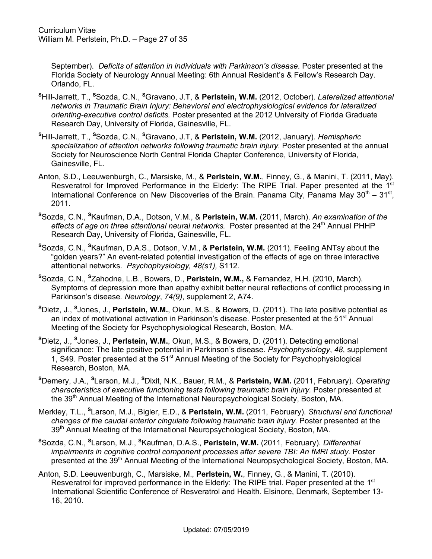September). *Deficits of attention in individuals with Parkinson's disease.* Poster presented at the Florida Society of Neurology Annual Meeting: 6th Annual Resident's & Fellow's Research Day. Orlando, FL.

- **<sup>S</sup>**Hill-Jarrett, T., **<sup>S</sup>**Sozda, C.N., **<sup>S</sup>**Gravano, J.T, & **Perlstein, W.M.** (2012, October). *Lateralized attentional networks in Traumatic Brain Injury: Behavioral and electrophysiological evidence for lateralized orienting-executive control deficits.* Poster presented at the 2012 University of Florida Graduate Research Day, University of Florida, Gainesville, FL.
- **<sup>S</sup>**Hill-Jarrett, T., **<sup>S</sup>**Sozda, C.N., **<sup>S</sup>**Gravano, J.T, & **Perlstein, W.M.** (2012, January). *Hemispheric specialization of attention networks following traumatic brain injury.* Poster presented at the annual Society for Neuroscience North Central Florida Chapter Conference, University of Florida, Gainesville, FL.
- Anton, S.D., Leeuwenburgh, C., Marsiske, M., & **Perlstein, W.M.**, Finney, G., & Manini, T. (2011, May). Resveratrol for Improved Performance in the Elderly: The RIPE Trial. Paper presented at the 1<sup>st</sup> International Conference on New Discoveries of the Brain. Panama City, Panama May  $30<sup>th</sup> - 31<sup>st</sup>$ , 2011.
- **S** Sozda, C.N., **<sup>S</sup>** Kaufman, D.A., Dotson, V.M., & **Perlstein, W.M.** (2011, March). *An examination of the effects of age on three attentional neural networks.* Poster presented at the 24<sup>th</sup> Annual PHHP Research Day, University of Florida, Gainesville, FL.
- **S** Sozda, C.N., **<sup>S</sup>** Kaufman, D.A.S., Dotson, V.M., & **Perlstein, W.M.** (2011). Feeling ANTsy about the "golden years?" An event-related potential investigation of the effects of age on three interactive attentional networks. *Psychophysiology, 48(s1),* S112.
- **<sup>S</sup>**Sozda, C.N., **<sup>S</sup>**Zahodne, L.B., Bowers, D., **Perlstein, W.M.,** & Fernandez, H.H. (2010, March). Symptoms of depression more than apathy exhibit better neural reflections of conflict processing in Parkinson's disease*. Neurology*, *74(9)*, supplement 2, A74.
- **S** Dietz, J., **<sup>S</sup>** Jones, J., **Perlstein, W.M.**, Okun, M.S., & Bowers, D. (2011). The late positive potential as an index of motivational activation in Parkinson's disease. Poster presented at the 51<sup>st</sup> Annual Meeting of the Society for Psychophysiological Research, Boston, MA.
- **S** Dietz, J., **<sup>S</sup>** Jones, J., **Perlstein, W.M.**, Okun, M.S., & Bowers, D. (2011). Detecting emotional significance: The late positive potential in Parkinson's disease. *Psychophysiology*, *48*, supplement 1, S49. Poster presented at the 51<sup>st</sup> Annual Meeting of the Society for Psychophysiological Research, Boston, MA.
- **<sup>S</sup>**Demery, J.A., **<sup>S</sup>**Larson, M.J., **<sup>S</sup>**Dixit, N.K., Bauer, R.M., & **Perlstein, W.M.** (2011, February). *Operating characteristics of executive functioning tests following traumatic brain injury.* Poster presented at the 39<sup>th</sup> Annual Meeting of the International Neuropsychological Society, Boston, MA.
- Merkley, T.L., **<sup>S</sup>**Larson, M.J., Bigler, E.D., & **Perlstein, W.M.** (2011, February). *Structural and functional changes of the caudal anterior cingulate following traumatic brain injury.* Poster presented at the 39<sup>th</sup> Annual Meeting of the International Neuropsychological Society, Boston, MA.
- **S** Sozda, C.N., **<sup>S</sup>** Larson, M.J., **<sup>S</sup>** Kaufman, D.A.S., **Perlstein, W.M.** (2011, February). *Differential impairments in cognitive control component processes after severe TBI: An fMRI study.* Poster presented at the 39<sup>th</sup> Annual Meeting of the International Neuropsychological Society, Boston, MA.
- Anton, S.D. Leeuwenburgh, C., Marsiske, M., **Perlstein, W.**, Finney, G., & Manini, T. (2010). Resveratrol for improved performance in the Elderly: The RIPE trial. Paper presented at the 1<sup>st</sup> International Scientific Conference of Resveratrol and Health. Elsinore, Denmark, September 13- 16, 2010.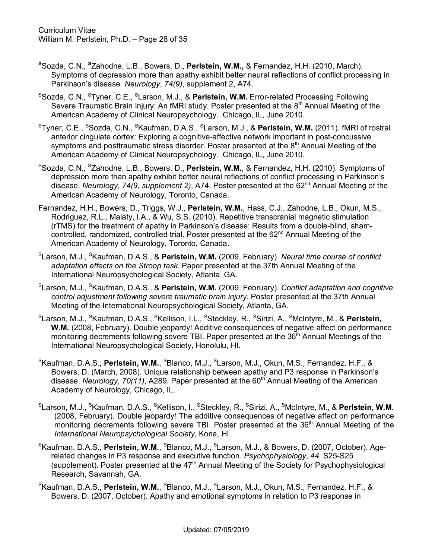- **S** Sozda, C.N., **<sup>S</sup>** Zahodne, L.B., Bowers, D., **Perlstein, W.M.,** & Fernandez, H.H. (2010, March). Symptoms of depression more than apathy exhibit better neural reflections of conflict processing in Parkinson's disease*. Neurology*, *74(9)*, supplement 2, A74.
- SSozda, C.N., STyner, C.E., SLarson, M.J., & **Perlstein, W.M.** Error-related Processing Following Severe Traumatic Brain Injury: An fMRI study. Poster presented at the  $8<sup>th</sup>$  Annual Meeting of the American Academy of Clinical Neuropsychology. Chicago, IL, June 2010.
- STyner, C.E., SSozda, C.N., SKaufman, D.A.S., SLarson, M.J., & **Perlstein, W.M.** (2011). fMRI of rostral anterior cingulate cortex: Exploring a cognitive-affective network important in post-concussive symptoms and posttraumatic stress disorder. Poster presented at the  $8<sup>th</sup>$  Annual Meeting of the American Academy of Clinical Neuropsychology. Chicago, IL, June 2010.
- <sup>S</sup>Sozda, C.N., <sup>S</sup>Zahodne, L.B., Bowers, D., Perlstein, W.M., & Fernandez, H.H. (2010). Symptoms of depression more than apathy exhibit better neural reflections of conflict processing in Parkinson's disease. *Neurology*, *74(9, supplement 2)*, A74. Poster presented at the 62nd Annual Meeting of the American Academy of Neurology, Toronto, Canada.
- Fernandez, H.H., Bowers, D., Triggs, W.J., **Perlstein, W.M.**, Hass, C.J., Zahodne, L.B., Okun, M.S., Rodriguez, R.L., Malaty, I.A., & Wu, S.S. (2010). Repetitive transcranial magnetic stimulation (rTMS) for the treatment of apathy in Parkinson's disease: Results from a double-blind, shamcontrolled, randomized, controlled trial. Poster presented at the 62<sup>nd</sup> Annual Meeting of the American Academy of Neurology, Toronto, Canada.
- SLarson, M.J., SKaufman, D.A.S., & **Perlstein, W.M.** (2009, February). *Neural time course of conflict adaptation effects on the Stroop task.* Paper presented at the 37th Annual Meeting of the International Neuropsychological Society, Atlanta, GA.
- S Larson, M.J., <sup>S</sup> Kaufman, D.A.S., & **Perlstein, W.M.** (2009, February). *Conflict adaptation and cognitive control adjustment following severe traumatic brain injury.* Poster presented at the 37th Annual Meeting of the International Neuropsychological Society, Atlanta, GA.
- <sup>s</sup>Larson, M.J., <sup>s</sup>Kaufman, D.A.S., <sup>s</sup>Kellison, I.L., <sup>s</sup>Steckley, R., <sup>s</sup>Sirizi, A., <sup>s</sup>McIntyre, M., & **Perlstein, W.M.** (2008, February). Double jeopardy! Additive consequences of negative affect on performance monitoring decrements following severe TBI. Paper presented at the 36<sup>th</sup> Annual Meetings of the International Neuropsychological Society, Honolulu, HI.
- <sup>s</sup>Kaufman, D.A.S., **Perlstein, W.M.**, <sup>s</sup>Blanco, M.J., <sup>s</sup>Larson, M.J., Okun, M.S., Fernandez, H.F., & Bowers, D. (March, 2008). Unique relationship between apathy and P3 response in Parkinson's disease. *Neurology, 70(11)*, A289. Paper presented at the 60<sup>th</sup> Annual Meeting of the American Academy of Neurology, Chicago, IL.
- ${}^{\rm S}$ Larson, M.J.,  ${}^{\rm S}$ Kaufman, D.A.S.,  ${}^{\rm S}$ Kellison, I.,  ${}^{\rm S}$ Steckley, R.,  ${}^{\rm S}$ Sirizi, A.,  ${}^{\rm S}$ McIntyre, M., & **PerIstein, W.M.** (2008, February). Double jeopardy! The additive consequences of negative affect on performance monitoring decrements following severe TBI. Poster presented at the 36<sup>th</sup> Annual Meeting of the *International Neuropsychological Society*, Kona, HI.
- <sup>s</sup>Kaufman, D.A.S., **Perlstein, W.M.**, <sup>s</sup>Blanco, M.J., <sup>s</sup>Larson, M.J., & Bowers, D. (2007, October). Agerelated changes in P3 response and executive function. *Psychophysiology*, *44*, S25-S25 (supplement). Poster presented at the  $47<sup>th</sup>$  Annual Meeting of the Society for Psychophysiological Research, Savannah, GA.
- <sup>s</sup>Kaufman, D.A.S., **Perlstein, W.M.**, <sup>s</sup>Blanco, M.J., <sup>s</sup>Larson, M.J., Okun, M.S., Fernandez, H.F., & Bowers, D. (2007, October). Apathy and emotional symptoms in relation to P3 response in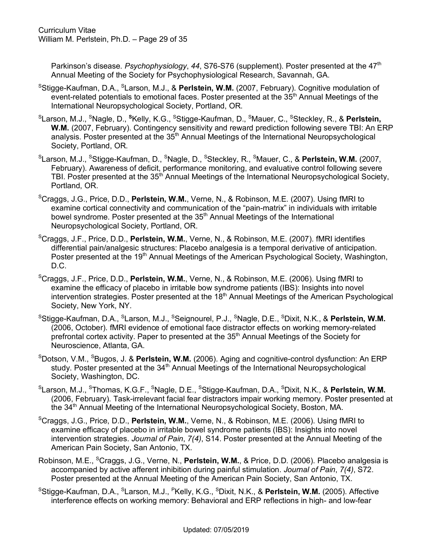Parkinson's disease. Psychophysiology, 44, S76-S76 (supplement). Poster presented at the 47<sup>th</sup> Annual Meeting of the Society for Psychophysiological Research, Savannah, GA.

- <sup>s</sup>Stigge-Kaufman, D.A., <sup>s</sup>Larson, M.J., & **Perlstein, W.M.** (2007, February). Cognitive modulation of event-related potentials to emotional faces. Poster presented at the 35<sup>th</sup> Annual Meetings of the International Neuropsychological Society, Portland, OR.
- <sup>s</sup>Larson, M.J., <sup>s</sup>Nagle, D., <sup>s</sup>Kelly, K.G., <sup>s</sup>Stigge-Kaufman, D., <sup>s</sup>Mauer, C., <sup>s</sup>Steckley, R., & **Perlstein, W.M.** (2007, February). Contingency sensitivity and reward prediction following severe TBI: An ERP analysis. Poster presented at the 35<sup>th</sup> Annual Meetings of the International Neuropsychological Society, Portland, OR.
- $^{\rm S}$ Larson, M.J.,  $^{\rm S}$ Stigge-Kaufman, D.,  $^{\rm S}$ Nagle, D.,  $^{\rm S}$ Steckley, R.,  $^{\rm S}$ Mauer, C., & **Perlstein, W.M.** (2007, February). Awareness of deficit, performance monitoring, and evaluative control following severe TBI. Poster presented at the 35<sup>th</sup> Annual Meetings of the International Neuropsychological Society, Portland, OR.
- S Craggs, J.G., Price, D.D., **Perlstein, W.M.**, Verne, N., & Robinson, M.E. (2007). Using fMRI to examine cortical connectivity and communication of the "pain-matrix" in individuals with irritable bowel syndrome. Poster presented at the 35<sup>th</sup> Annual Meetings of the International Neuropsychological Society, Portland, OR.
- S Craggs, J.F., Price, D.D., **Perlstein, W.M.**, Verne, N., & Robinson, M.E. (2007). fMRI identifies differential pain/analgesic structures: Placebo analgesia is a temporal derivative of anticipation. Poster presented at the 19<sup>th</sup> Annual Meetings of the American Psychological Society, Washington, D.C.
- SCraggs, J.F., Price, D.D., **Perlstein, W.M.**, Verne, N., & Robinson, M.E. (2006). Using fMRI to examine the efficacy of placebo in irritable bow syndrome patients (IBS): Insights into novel intervention strategies. Poster presented at the  $18<sup>th</sup>$  Annual Meetings of the American Psychological Society, New York, NY.
- SStigge-Kaufman, D.A., SLarson, M.J., SSeignourel, P.J., SNagle, D.E., SDixit, N.K., & **Perlstein, W.M.** (2006, October). fMRI evidence of emotional face distractor effects on working memory-related prefrontal cortex activity. Paper to presented at the 35<sup>th</sup> Annual Meetings of the Society for Neuroscience, Atlanta, GA.
- S Dotson, V.M., SBugos, J. & **Perlstein, W.M.** (2006). Aging and cognitive-control dysfunction: An ERP study. Poster presented at the  $34<sup>th</sup>$  Annual Meetings of the International Neuropsychological Society, Washington, DC.
- <sup>s</sup>Larson, M.J., <sup>s</sup>Thomas, K.G.F., <sup>s</sup>Nagle, D.E., <sup>s</sup>Stigge-Kaufman, D.A., <sup>s</sup>Dixit, N.K., & **Perlstein, W.M.** (2006, February). Task-irrelevant facial fear distractors impair working memory. Poster presented at the 34<sup>th</sup> Annual Meeting of the International Neuropsychological Society, Boston, MA.
- S Craggs, J.G., Price, D.D., **Perlstein, W.M.**, Verne, N., & Robinson, M.E. (2006). Using fMRI to examine efficacy of placebo in irritable bowel syndrome patients (IBS): Insights into novel intervention strategies. *Journal of Pain*, *7(4)*, S14. Poster presented at the Annual Meeting of the American Pain Society, San Antonio, TX.
- Robinson, M.E., <sup>s</sup>Craggs, J.G., Verne, N., Perlstein, W.M., & Price, D.D. (2006). Placebo analgesia is accompanied by active afferent inhibition during painful stimulation. *Journal of Pain*, *7(4)*, S72. Poster presented at the Annual Meeting of the American Pain Society, San Antonio, TX.
- <sup>s</sup>Stigge-Kaufman, D.A., <sup>s</sup>Larson, M.J., <sup>P</sup>Kelly, K.G., <sup>s</sup>Dixit, N.K., & **Perlstein, W.M.** (2005). Affective interference effects on working memory: Behavioral and ERP reflections in high- and low-fear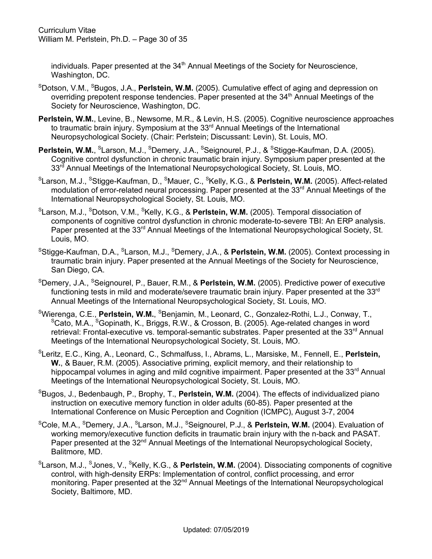individuals. Paper presented at the 34<sup>th</sup> Annual Meetings of the Society for Neuroscience, Washington, DC.

- <sup>S</sup>Dotson, V.M., <sup>S</sup>Bugos, J.A., Perlstein, W.M. (2005). Cumulative effect of aging and depression on overriding prepotent response tendencies. Paper presented at the 34<sup>th</sup> Annual Meetings of the Society for Neuroscience, Washington, DC.
- **Perlstein, W.M.**, Levine, B., Newsome, M.R., & Levin, H.S. (2005). Cognitive neuroscience approaches to traumatic brain injury. Symposium at the 33<sup>rd</sup> Annual Meetings of the International Neuropsychological Society. (Chair: Perlstein; Discussant: Levin), St. Louis, MO.
- Perlstein, W.M., <sup>S</sup>Larson, M.J., <sup>S</sup>Demery, J.A., <sup>S</sup>Seignourel, P.J., & <sup>S</sup>Stigge-Kaufman, D.A. (2005). Cognitive control dysfunction in chronic traumatic brain injury. Symposium paper presented at the 33<sup>rd</sup> Annual Meetings of the International Neuropsychological Society, St. Louis, MO.
- <sup>s</sup>Larson, M.J., <sup>s</sup>Stigge-Kaufman, D., <sup>s</sup>Mauer, C., <sup>s</sup>Kelly, K.G., & **Perlstein, W.M.** (2005). Affect-related modulation of error-related neural processing. Paper presented at the 33<sup>rd</sup> Annual Meetings of the International Neuropsychological Society, St. Louis, MO.
- <sup>s</sup>Larson, M.J., <sup>s</sup>Dotson, V.M., <sup>s</sup>Kelly, K.G., & **Perlstein, W.M.** (2005). Temporal dissociation of components of cognitive control dysfunction in chronic moderate-to-severe TBI: An ERP analysis. Paper presented at the 33<sup>rd</sup> Annual Meetings of the International Neuropsychological Society, St. Louis, MO.
- <sup>s</sup>Stigge-Kaufman, D.A., <sup>s</sup>Larson, M.J., <sup>s</sup>Demery, J.A., & **Perlstein, W.M.** (2005). Context processing in traumatic brain injury. Paper presented at the Annual Meetings of the Society for Neuroscience, San Diego, CA.
- SDemery, J.A., SSeignourel, P., Bauer, R.M., & **Perlstein, W.M.** (2005). Predictive power of executive functioning tests in mild and moderate/severe traumatic brain injury. Paper presented at the 33<sup>rd</sup> Annual Meetings of the International Neuropsychological Society, St. Louis, MO.
- <sup>s</sup>Wierenga, C.E., **Perlstein, W.M.**, <sup>s</sup>Benjamin, M., Leonard, C., Gonzalez-Rothi, L.J., Conway, T., <sup>S</sup>Cato, M.A., <sup>S</sup>Gopinath, K., Briggs, R.W., & Crosson, B. (2005). Age-related changes in word retrieval: Frontal-executive vs. temporal-semantic substrates. Paper presented at the  $33<sup>rd</sup>$  Annual Meetings of the International Neuropsychological Society, St. Louis, MO.
- S Leritz, E.C., King, A., Leonard, C., Schmalfuss, I., Abrams, L., Marsiske, M., Fennell, E., **Perlstein, W.**, & Bauer, R.M. (2005). Associative priming, explicit memory, and their relationship to hippocampal volumes in aging and mild cognitive impairment. Paper presented at the  $33<sup>rd</sup>$  Annual Meetings of the International Neuropsychological Society, St. Louis, MO.
- SBugos, J., Bedenbaugh, P., Brophy, T., **Perlstein, W.M.** (2004). The effects of individualized piano instruction on executive memory function in older adults (60-85). Paper presented at the International Conference on Music Perception and Cognition (ICMPC), August 3-7, 2004
- <sup>s</sup>Cole, M.A., <sup>s</sup>Demery, J.A., <sup>s</sup>Larson, M.J., <sup>s</sup>Seignourel, P.J., & **Perlstein, W.M.** (2004). Evaluation of working memory/executive function deficits in traumatic brain injury with the n-back and PASAT. Paper presented at the 32<sup>nd</sup> Annual Meetings of the International Neuropsychological Society, Balitmore, MD.
- <sup>s</sup>Larson, M.J., <sup>s</sup>Jones, V., <sup>s</sup>Kelly, K.G., & **Perlstein, W.M.** (2004). Dissociating components of cognitive control, with high-density ERPs: Implementation of control, conflict processing, and error monitoring. Paper presented at the 32<sup>nd</sup> Annual Meetings of the International Neuropsychological Society, Baltimore, MD.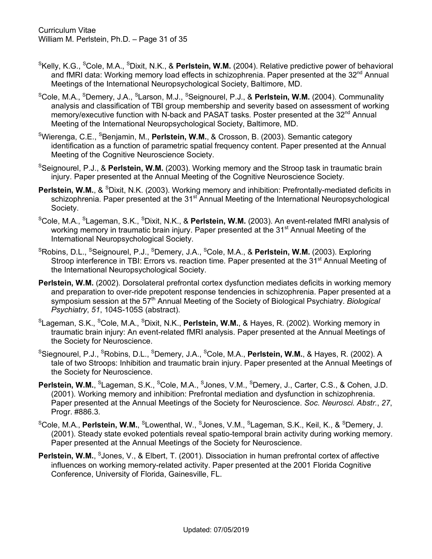- <sup>s</sup>Kelly, K.G., <sup>s</sup>Cole, M.A., <sup>s</sup>Dixit, N.K., & **Perlstein, W.M.** (2004). Relative predictive power of behavioral and fMRI data: Working memory load effects in schizophrenia. Paper presented at the 32<sup>nd</sup> Annual Meetings of the International Neuropsychological Society, Baltimore, MD.
- SCole, M.A., SDemery, J.A., SLarson, M.J., SSeignourel, P.J., & **Perlstein, W.M.** (2004). Communality analysis and classification of TBI group membership and severity based on assessment of working memory/executive function with N-back and PASAT tasks. Poster presented at the 32<sup>nd</sup> Annual Meeting of the International Neuropsychological Society, Baltimore, MD.
- SWierenga, C.E., SBenjamin, M., **Perlstein, W.M.**, & Crosson, B. (2003). Semantic category identification as a function of parametric spatial frequency content. Paper presented at the Annual Meeting of the Cognitive Neuroscience Society.
- SSeignourel, P.J., & **Perlstein, W.M.** (2003). Working memory and the Stroop task in traumatic brain injury. Paper presented at the Annual Meeting of the Cognitive Neuroscience Society.
- **Perlstein, W.M., & SDixit, N.K. (2003). Working memory and inhibition: Prefrontally-mediated deficits in** schizophrenia. Paper presented at the 31<sup>st</sup> Annual Meeting of the International Neuropsychological Society.
- <sup>s</sup>Cole, M.A., <sup>s</sup>Lageman, S.K., <sup>s</sup>Dixit, N.K., & **Perlstein, W.M.** (2003). An event-related fMRI analysis of working memory in traumatic brain injury. Paper presented at the 31<sup>st</sup> Annual Meeting of the International Neuropsychological Society.
- ${}^{\rm S}$ Robins, D.L.,  ${}^{\rm S}$ Seignourel, P.J.,  ${}^{\rm S}$ Demery, J.A.,  ${}^{\rm S}$ Cole, M.A., & **Perlstein, W.M.** (2003). Exploring Stroop interference in TBI: Errors vs. reaction time. Paper presented at the 31<sup>st</sup> Annual Meeting of the International Neuropsychological Society.
- **Perlstein, W.M.** (2002). Dorsolateral prefrontal cortex dysfunction mediates deficits in working memory and preparation to over-ride prepotent response tendencies in schizophrenia. Paper presented at a symposium session at the 57<sup>th</sup> Annual Meeting of the Society of Biological Psychiatry. *Biological Psychiatry*, *51*, 104S-105S (abstract).
- <sup>s</sup>Lageman, S.K., <sup>s</sup>Cole, M.A., <sup>s</sup>Dixit, N.K., **Perlstein, W.M.**, & Hayes, R. (2002). Working memory in traumatic brain injury: An event-related fMRI analysis. Paper presented at the Annual Meetings of the Society for Neuroscience.
- <sup>s</sup>Siegnourel, P.J., <sup>s</sup>Robins, D.L., <sup>s</sup>Demery, J.A., <sup>s</sup>Cole, M.A., **Perlstein, W.M.**, & Hayes, R. (2002). A tale of two Stroops: Inhibition and traumatic brain injury. Paper presented at the Annual Meetings of the Society for Neuroscience.
- Perlstein, W.M., <sup>S</sup>Lageman, S.K., <sup>S</sup>Cole, M.A., <sup>S</sup>Jones, V.M., <sup>S</sup>Demery, J., Carter, C.S., & Cohen, J.D. (2001). Working memory and inhibition: Prefrontal mediation and dysfunction in schizophrenia. Paper presented at the Annual Meetings of the Society for Neuroscience. *Soc. Neurosci. Abstr.*, *27*, Progr. #886.3.
- <sup>s</sup>Cole, M.A., **Perlstein, W.M.**, <sup>s</sup>Lowenthal, W., <sup>s</sup>Jones, V.M., <sup>s</sup>Lageman, S.K., Keil, K., & <sup>s</sup>Demery, J. (2001). Steady state evoked potentials reveal spatio-temporal brain activity during working memory. Paper presented at the Annual Meetings of the Society for Neuroscience.
- **Perlstein, W.M., SJones, V., & Elbert, T. (2001). Dissociation in human prefrontal cortex of affective** influences on working memory-related activity. Paper presented at the 2001 Florida Cognitive Conference, University of Florida, Gainesville, FL.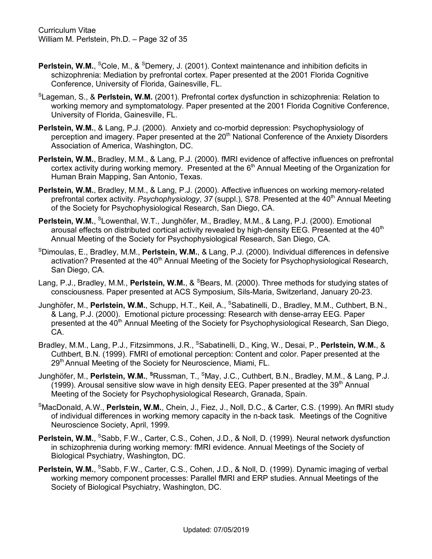- **Perlstein, W.M., <sup>S</sup>Cole, M., & <sup>S</sup>Demery, J. (2001). Context maintenance and inhibition deficits in** schizophrenia: Mediation by prefrontal cortex. Paper presented at the 2001 Florida Cognitive Conference, University of Florida, Gainesville, FL.
- SLageman, S., & **Perlstein, W.M.** (2001). Prefrontal cortex dysfunction in schizophrenia: Relation to working memory and symptomatology. Paper presented at the 2001 Florida Cognitive Conference, University of Florida, Gainesville, FL.
- **Perlstein, W.M.**, & Lang, P.J. (2000). Anxiety and co-morbid depression: Psychophysiology of perception and imagery. Paper presented at the 20<sup>th</sup> National Conference of the Anxiety Disorders Association of America, Washington, DC.
- **Perlstein, W.M.**, Bradley, M.M., & Lang, P.J. (2000). fMRI evidence of affective influences on prefrontal cortex activity during working memory. Presented at the  $6<sup>th</sup>$  Annual Meeting of the Organization for Human Brain Mapping, San Antonio, Texas.
- **Perlstein, W.M.**, Bradley, M.M., & Lang, P.J. (2000). Affective influences on working memory-related prefrontal cortex activity. *Psychophysiology*, 37 (suppl.), S78. Presented at the 40<sup>th</sup> Annual Meeting of the Society for Psychophysiological Research, San Diego, CA.
- Perlstein, W.M., <sup>S</sup>Lowenthal, W.T., Junghöfer, M., Bradley, M.M., & Lang, P.J. (2000). Emotional arousal effects on distributed cortical activity revealed by high-density EEG. Presented at the 40<sup>th</sup> Annual Meeting of the Society for Psychophysiological Research, San Diego, CA.
- S Dimoulas, E., Bradley, M.M., **Perlstein, W.M.**, & Lang, P.J. (2000). Individual differences in defensive activation? Presented at the 40<sup>th</sup> Annual Meeting of the Society for Psychophysiological Research, San Diego, CA.
- Lang, P.J., Bradley, M.M., Perlstein, W.M., & <sup>S</sup>Bears, M. (2000). Three methods for studying states of consciousness. Paper presented at ACS Symposium, Sils-Maria, Switzerland, January 20-23.
- Junghöfer, M., Perlstein, W.M., Schupp, H.T., Keil, A., <sup>S</sup>Sabatinelli, D., Bradley, M.M., Cuthbert, B.N., & Lang, P.J. (2000). Emotional picture processing: Research with dense-array EEG. Paper presented at the 40<sup>th</sup> Annual Meeting of the Society for Psychophysiological Research, San Diego, CA.
- Bradley, M.M., Lang, P.J., Fitzsimmons, J.R., <sup>s</sup>Sabatinelli, D., King, W., Desai, P., **Perlstein, W.M.**, & Cuthbert, B.N. (1999). FMRI of emotional perception: Content and color. Paper presented at the 29<sup>th</sup> Annual Meeting of the Society for Neuroscience, Miami, FL.
- Junghöfer, M., **Perlstein, W.M.**, **<sup>S</sup>** Russman, T., SMay, J.C., Cuthbert, B.N., Bradley, M.M., & Lang, P.J. (1999). Arousal sensitive slow wave in high density EEG. Paper presented at the  $39<sup>th</sup>$  Annual Meeting of the Society for Psychophysiological Research, Granada, Spain.
- S MacDonald, A.W., **Perlstein, W.M.**, Chein, J., Fiez, J., Noll, D.C., & Carter, C.S. (1999). An fMRI study of individual differences in working memory capacity in the n-back task. Meetings of the Cognitive Neuroscience Society, April, 1999.
- Perlstein, W.M., <sup>S</sup>Sabb, F.W., Carter, C.S., Cohen, J.D., & Noll, D. (1999). Neural network dysfunction in schizophrenia during working memory: fMRI evidence. Annual Meetings of the Society of Biological Psychiatry, Washington, DC.
- Perlstein, W.M., <sup>S</sup>Sabb, F.W., Carter, C.S., Cohen, J.D., & Noll, D. (1999). Dynamic imaging of verbal working memory component processes: Parallel fMRI and ERP studies. Annual Meetings of the Society of Biological Psychiatry, Washington, DC.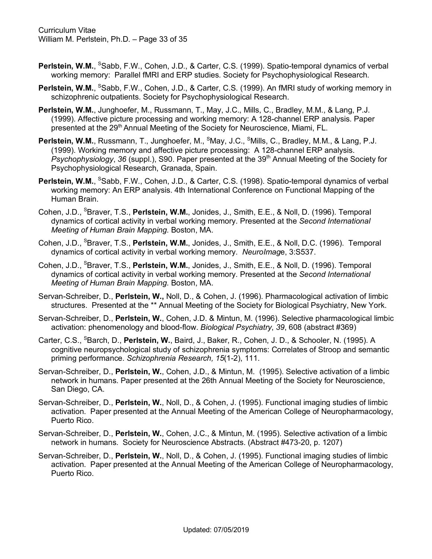- Perlstein, W.M., <sup>S</sup>Sabb, F.W., Cohen, J.D., & Carter, C.S. (1999). Spatio-temporal dynamics of verbal working memory: Parallel fMRI and ERP studies. Society for Psychophysiological Research.
- Perlstein, W.M., <sup>S</sup>Sabb, F.W., Cohen, J.D., & Carter, C.S. (1999). An fMRI study of working memory in schizophrenic outpatients. Society for Psychophysiological Research.
- **Perlstein, W.M.**, Junghoefer, M., Russmann, T., May, J.C., Mills, C., Bradley, M.M., & Lang, P.J. (1999). Affective picture processing and working memory: A 128-channel ERP analysis. Paper presented at the 29<sup>th</sup> Annual Meeting of the Society for Neuroscience, Miami, FL.
- Perlstein, W.M., Russmann, T., Junghoefer, M., <sup>S</sup>May, J.C., <sup>S</sup>Mills, C., Bradley, M.M., & Lang, P.J. (1999). Working memory and affective picture processing: A 128-channel ERP analysis. *Psychophysiology, 36 (suppl.), S90. Paper presented at the 39<sup>th</sup> Annual Meeting of the Society for* Psychophysiological Research, Granada, Spain.
- Perlstein, W.M., <sup>s</sup>Sabb, F.W., Cohen, J.D., & Carter, C.S. (1998). Spatio-temporal dynamics of verbal working memory: An ERP analysis. 4th International Conference on Functional Mapping of the Human Brain.
- Cohen, J.D., <sup>S</sup>Braver, T.S., Perlstein, W.M., Jonides, J., Smith, E.E., & Noll, D. (1996). Temporal dynamics of cortical activity in verbal working memory. Presented at the *Second International Meeting of Human Brain Mapping*. Boston, MA.
- Cohen, J.D., <sup>S</sup>Braver, T.S., Perlstein, W.M., Jonides, J., Smith, E.E., & Noll, D.C. (1996). Temporal dynamics of cortical activity in verbal working memory. *NeuroImag*e, 3:S537.
- Cohen, J.D., <sup>s</sup>Braver, T.S., Perlstein, W.M., Jonides, J., Smith, E.E., & Noll, D. (1996). Temporal dynamics of cortical activity in verbal working memory. Presented at the *Second International Meeting of Human Brain Mapping*. Boston, MA.
- Servan-Schreiber, D., **Perlstein, W.,** Noll, D., & Cohen, J. (1996). Pharmacological activation of limbic structures. Presented at the \*\* Annual Meeting of the Society for Biological Psychiatry, New York.
- Servan-Schreiber, D., **Perlstein, W.**, Cohen, J.D. & Mintun, M. (1996). Selective pharmacological limbic activation: phenomenology and blood-flow. *Biological Psychiatry*, *39*, 608 (abstract #369)
- Carter, C.S., <sup>S</sup>Barch, D., Perlstein, W., Baird, J., Baker, R., Cohen, J. D., & Schooler, N. (1995). A cognitive neuropsychological study of schizophrenia symptoms: Correlates of Stroop and semantic priming performance. *Schizophrenia Research, 15*(1-2), 111.
- Servan-Schreiber, D., **Perlstein, W.**, Cohen, J.D., & Mintun, M. (1995). Selective activation of a limbic network in humans. Paper presented at the 26th Annual Meeting of the Society for Neuroscience, San Diego, CA.
- Servan-Schreiber, D., **Perlstein, W.**, Noll, D., & Cohen, J. (1995). Functional imaging studies of limbic activation. Paper presented at the Annual Meeting of the American College of Neuropharmacology, Puerto Rico.
- Servan-Schreiber, D., **Perlstein, W.**, Cohen, J.C., & Mintun, M. (1995). Selective activation of a limbic network in humans. Society for Neuroscience Abstracts. (Abstract #473-20, p. 1207)
- Servan-Schreiber, D., **Perlstein, W.**, Noll, D., & Cohen, J. (1995). Functional imaging studies of limbic activation. Paper presented at the Annual Meeting of the American College of Neuropharmacology, Puerto Rico.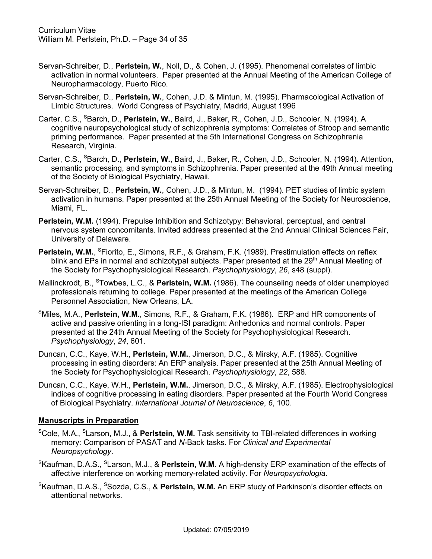- Servan-Schreiber, D., **Perlstein, W.**, Noll, D., & Cohen, J. (1995). Phenomenal correlates of limbic activation in normal volunteers. Paper presented at the Annual Meeting of the American College of Neuropharmacology, Puerto Rico.
- Servan-Schreiber, D., **Perlstein, W.**, Cohen, J.D. & Mintun, M. (1995). Pharmacological Activation of Limbic Structures. World Congress of Psychiatry, Madrid, August 1996
- Carter, C.S., <sup>S</sup>Barch, D., Perlstein, W., Baird, J., Baker, R., Cohen, J.D., Schooler, N. (1994). A cognitive neuropsychological study of schizophrenia symptoms: Correlates of Stroop and semantic priming performance. Paper presented at the 5th International Congress on Schizophrenia Research, Virginia.
- Carter, C.S., <sup>S</sup>Barch, D., Perlstein, W., Baird, J., Baker, R., Cohen, J.D., Schooler, N. (1994). Attention, semantic processing, and symptoms in Schizophrenia. Paper presented at the 49th Annual meeting of the Society of Biological Psychiatry, Hawaii.
- Servan-Schreiber, D., **Perlstein, W.**, Cohen, J.D., & Mintun, M. (1994). PET studies of limbic system activation in humans. Paper presented at the 25th Annual Meeting of the Society for Neuroscience, Miami, FL.
- **Perlstein, W.M.** (1994). Prepulse Inhibition and Schizotypy: Behavioral, perceptual, and central nervous system concomitants. Invited address presented at the 2nd Annual Clinical Sciences Fair, University of Delaware.
- **Perlstein, W.M., SFiorito, E., Simons, R.F., & Graham, F.K. (1989). Prestimulation effects on reflex** blink and EPs in normal and schizotypal subjects. Paper presented at the 29<sup>th</sup> Annual Meeting of the Society for Psychophysiological Research. *Psychophysiology*, *26*, s48 (suppl).
- Mallinckrodt, B., <sup>S</sup>Towbes, L.C., & Perlstein, W.M. (1986). The counseling needs of older unemployed professionals returning to college. Paper presented at the meetings of the American College Personnel Association, New Orleans, LA.
- S Miles, M.A., **Perlstein, W.M.**, Simons, R.F., & Graham, F.K. (1986). ERP and HR components of active and passive orienting in a long-ISI paradigm: Anhedonics and normal controls. Paper presented at the 24th Annual Meeting of the Society for Psychophysiological Research. *Psychophysiology*, *24*, 601.
- Duncan, C.C., Kaye, W.H., **Perlstein, W.M.**, Jimerson, D.C., & Mirsky, A.F. (1985). Cognitive processing in eating disorders: An ERP analysis. Paper presented at the 25th Annual Meeting of the Society for Psychophysiological Research. *Psychophysiology*, *22*, 588.
- Duncan, C.C., Kaye, W.H., **Perlstein, W.M.**, Jimerson, D.C., & Mirsky, A.F. (1985). Electrophysiological indices of cognitive processing in eating disorders. Paper presented at the Fourth World Congress of Biological Psychiatry. *International Journal of Neuroscience*, *6*, 100.

# **Manuscripts in Preparation**

- <sup>s</sup>Cole, M.A., <sup>s</sup>Larson, M.J., & **Perlstein, W.M.** Task sensitivity to TBI-related differences in working memory: Comparison of PASAT and *N*-Back tasks. For *Clinical and Experimental Neuropsychology*.
- <sup>S</sup>Kaufman, D.A.S., <sup>S</sup>Larson, M.J., & **Perlstein, W.M.** A high-density ERP examination of the effects of affective interference on working memory-related activity. For *Neuropsychologia*.
- <sup>S</sup>Kaufman, D.A.S., <sup>s</sup>Sozda, C.S., & **Perlstein, W.M.** An ERP study of Parkinson's disorder effects on attentional networks.